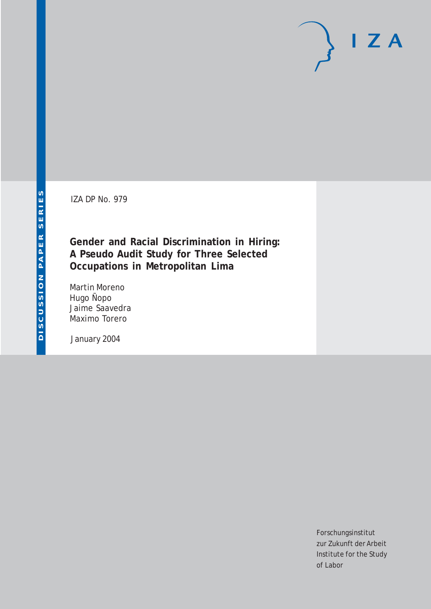IZA DP No. 979

## **Gender and Racial Discrimination in Hiring: A Pseudo Audit Study for Three Selected Occupations in Metropolitan Lima**

Martin Moreno Hugo Ñopo Jaime Saavedra Maximo Torero

January 2004

Forschungsinstitut zur Zukunft der Arbeit Institute for the Study of Labor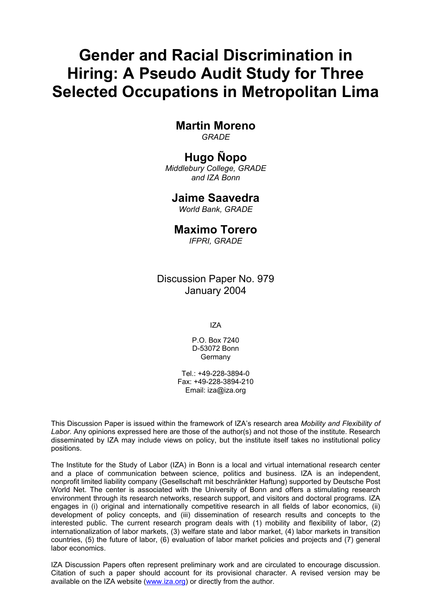# **Gender and Racial Discrimination in Hiring: A Pseudo Audit Study for Three Selected Occupations in Metropolitan Lima**

## **Martin Moreno**

*GRADE* 

## **Hugo Ñopo**

*Middlebury College, GRADE and IZA Bonn* 

## **Jaime Saavedra**

*World Bank, GRADE* 

## **Maximo Torero**

*IFPRI, GRADE*

Discussion Paper No. 979 January 2004

IZA

P.O. Box 7240 D-53072 Bonn Germany

Tel.: +49-228-3894-0 Fax: +49-228-3894-210 Email: [iza@iza.org](mailto:iza@iza.org)

This Discussion Paper is issued within the framework of IZA's research area *Mobility and Flexibility of Labor.* Any opinions expressed here are those of the author(s) and not those of the institute. Research disseminated by IZA may include views on policy, but the institute itself takes no institutional policy positions.

The Institute for the Study of Labor (IZA) in Bonn is a local and virtual international research center and a place of communication between science, politics and business. IZA is an independent, nonprofit limited liability company (Gesellschaft mit beschränkter Haftung) supported by Deutsche Post World Net. The center is associated with the University of Bonn and offers a stimulating research environment through its research networks, research support, and visitors and doctoral programs. IZA engages in (i) original and internationally competitive research in all fields of labor economics, (ii) development of policy concepts, and (iii) dissemination of research results and concepts to the interested public. The current research program deals with (1) mobility and flexibility of labor, (2) internationalization of labor markets, (3) welfare state and labor market, (4) labor markets in transition countries, (5) the future of labor, (6) evaluation of labor market policies and projects and (7) general labor economics.

IZA Discussion Papers often represent preliminary work and are circulated to encourage discussion. Citation of such a paper should account for its provisional character. A revised version may be available on the IZA website ([www.iza.org](http://www.iza.org/)) or directly from the author.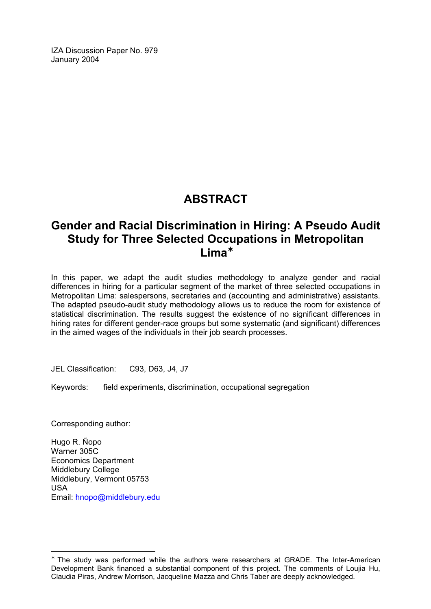IZA Discussion Paper No. 979 January 2004

## **ABSTRACT**

## **Gender and Racial Discrimination in Hiring: A Pseudo Audit Study for Three Selected Occupations in Metropolitan Lima**[∗](#page-2-0)

In this paper, we adapt the audit studies methodology to analyze gender and racial differences in hiring for a particular segment of the market of three selected occupations in Metropolitan Lima: salespersons, secretaries and (accounting and administrative) assistants. The adapted pseudo-audit study methodology allows us to reduce the room for existence of statistical discrimination. The results suggest the existence of no significant differences in hiring rates for different gender-race groups but some systematic (and significant) differences in the aimed wages of the individuals in their job search processes.

JEL Classification: C93, D63, J4, J7

Keywords: field experiments, discrimination, occupational segregation

Corresponding author:

 $\overline{a}$ 

Hugo R. Ñopo Warner 305C Economics Department Middlebury College Middlebury, Vermont 05753 USA Email: [hnopo@middlebury.edu](mailto:hnopo@middlebury.edu)

<span id="page-2-0"></span><sup>∗</sup> The study was performed while the authors were researchers at GRADE. The Inter-American Development Bank financed a substantial component of this project. The comments of Loujia Hu, Claudia Piras, Andrew Morrison, Jacqueline Mazza and Chris Taber are deeply acknowledged.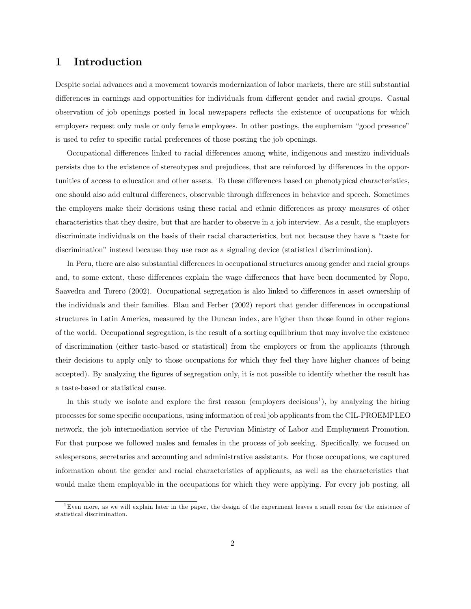## 1 Introduction

Despite social advances and a movement towards modernization of labor markets, there are still substantial differences in earnings and opportunities for individuals from different gender and racial groups. Casual observation of job openings posted in local newspapers reflects the existence of occupations for which employers request only male or only female employees. In other postings, the euphemism "good presence" is used to refer to specific racial preferences of those posting the job openings.

Occupational differences linked to racial differences among white, indigenous and mestizo individuals persists due to the existence of stereotypes and prejudices, that are reinforced by differences in the opportunities of access to education and other assets. To these differences based on phenotypical characteristics, one should also add cultural differences, observable through differences in behavior and speech. Sometimes the employers make their decisions using these racial and ethnic differences as proxy measures of other characteristics that they desire, but that are harder to observe in a job interview. As a result, the employers discriminate individuals on the basis of their racial characteristics, but not because they have a "taste for discrimination" instead because they use race as a signaling device (statistical discrimination).

In Peru, there are also substantial differences in occupational structures among gender and racial groups and, to some extent, these differences explain the wage differences that have been documented by Nopo, Saavedra and Torero (2002). Occupational segregation is also linked to differences in asset ownership of the individuals and their families. Blau and Ferber (2002) report that gender differences in occupational structures in Latin America, measured by the Duncan index, are higher than those found in other regions of the world. Occupational segregation, is the result of a sorting equilibrium that may involve the existence of discrimination (either taste-based or statistical) from the employers or from the applicants (through their decisions to apply only to those occupations for which they feel they have higher chances of being accepted). By analyzing the figures of segregation only, it is not possible to identify whether the result has a taste-based or statistical cause.

In this study we isolate and explore the first reason (employers decisions<sup>1</sup>), by analyzing the hiring processes for some specific occupations, using information of real job applicants from the CIL-PROEMPLEO network, the job intermediation service of the Peruvian Ministry of Labor and Employment Promotion. For that purpose we followed males and females in the process of job seeking. Specifically, we focused on salespersons, secretaries and accounting and administrative assistants. For those occupations, we captured information about the gender and racial characteristics of applicants, as well as the characteristics that would make them employable in the occupations for which they were applying. For every job posting, all

 ${}^{1}$ Even more, as we will explain later in the paper, the design of the experiment leaves a small room for the existence of statistical discrimination.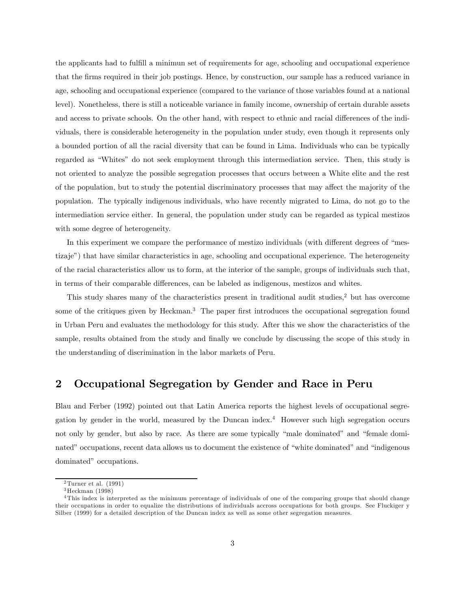the applicants had to fulfill a minimun set of requirements for age, schooling and occupational experience that the firms required in their job postings. Hence, by construction, our sample has a reduced variance in age, schooling and occupational experience (compared to the variance of those variables found at a national level). Nonetheless, there is still a noticeable variance in family income, ownership of certain durable assets and access to private schools. On the other hand, with respect to ethnic and racial differences of the individuals, there is considerable heterogeneity in the population under study, even though it represents only a bounded portion of all the racial diversity that can be found in Lima. Individuals who can be typically regarded as "Whites" do not seek employment through this intermediation service. Then, this study is not oriented to analyze the possible segregation processes that occurs between a White elite and the rest of the population, but to study the potential discriminatory processes that may affect the majority of the population. The typically indigenous individuals, who have recently migrated to Lima, do not go to the intermediation service either. In general, the population under study can be regarded as typical mestizos with some degree of heterogeneity.

In this experiment we compare the performance of mestizo individuals (with different degrees of "mestizaje") that have similar characteristics in age, schooling and occupational experience. The heterogeneity of the racial characteristics allow us to form, at the interior of the sample, groups of individuals such that, in terms of their comparable differences, can be labeled as indigenous, mestizos and whites.

This study shares many of the characteristics present in traditional audit studies,<sup>2</sup> but has overcome some of the critiques given by Heckman.<sup>3</sup> The paper first introduces the occupational segregation found in Urban Peru and evaluates the methodology for this study. After this we show the characteristics of the sample, results obtained from the study and finally we conclude by discussing the scope of this study in the understanding of discrimination in the labor markets of Peru.

## 2 Occupational Segregation by Gender and Race in Peru

Blau and Ferber (1992) pointed out that Latin America reports the highest levels of occupational segregation by gender in the world, measured by the Duncan index.<sup>4</sup> However such high segregation occurs not only by gender, but also by race. As there are some typically "male dominated" and "female dominated" occupations, recent data allows us to document the existence of "white dominated" and "indigenous dominated" occupations.

 $2$ Turner et al. (1991)

<sup>3</sup>Heckman (1998)

<sup>4</sup>This index is interpreted as the minimum percentage of individuals of one of the comparing groups that should change their occupations in order to equalize the distributions of individuals accross occupations for both groups. See Fluckiger y Silber (1999) for a detailed description of the Duncan index as well as some other segregation measures.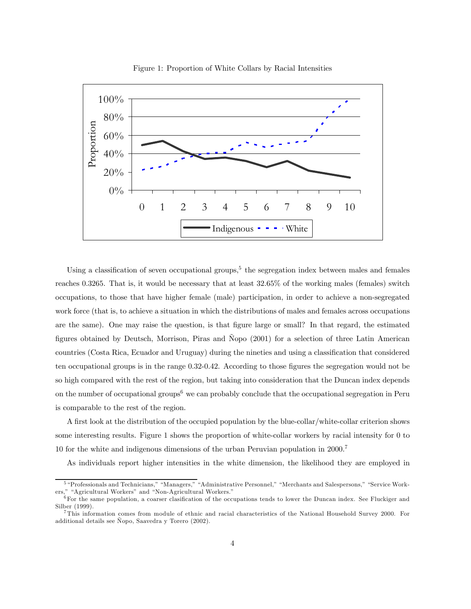

Figure 1: Proportion of White Collars by Racial Intensities

Using a classification of seven occupational groups,<sup>5</sup> the segregation index between males and females reaches 0.3265. That is, it would be necessary that at least 32.65% of the working males (females) switch occupations, to those that have higher female (male) participation, in order to achieve a non-segregated work force (that is, to achieve a situation in which the distributions of males and females across occupations are the same). One may raise the question, is that figure large or small? In that regard, the estimated figures obtained by Deutsch, Morrison, Piras and Ñopo (2001) for a selection of three Latin American countries (Costa Rica, Ecuador and Uruguay) during the nineties and using a classification that considered ten occupational groups is in the range 0.32-0.42. According to those figures the segregation would not be so high compared with the rest of the region, but taking into consideration that the Duncan index depends on the number of occupational groups<sup> $6$ </sup> we can probably conclude that the occupational segregation in Peru is comparable to the rest of the region.

A first look at the distribution of the occupied population by the blue-collar/white-collar criterion shows some interesting results. Figure 1 shows the proportion of white-collar workers by racial intensity for 0 to 10 for the white and indigenous dimensions of the urban Peruvian population in 2000.<sup>7</sup>

As individuals report higher intensities in the white dimension, the likelihood they are employed in

<sup>5</sup> "Professionals and Technicians," "Managers," "Administrative Personnel," "Merchants and Salespersons," "Service Workers," "Agricultural Workers" and "Non-Agricultural Workers."

 ${}^{6}$  For the same population, a coarser clasification of the occupations tends to lower the Duncan index. See Fluckiger and Silber (1999).

<sup>7</sup>This information comes from module of ethnic and racial characteristics of the National Household Survey 2000. For additional details see Ñopo, Saavedra y Torero (2002).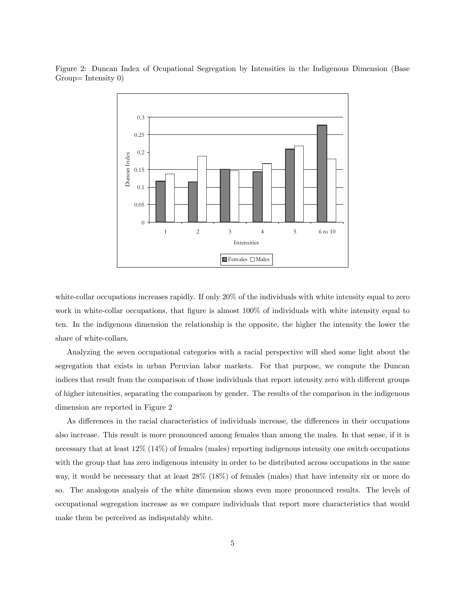

Figure 2: Duncan Index of Ocupational Segregation by Intensities in the Indigenous Dimension (Base Group= Intensity 0)

white-collar occupations increases rapidly. If only 20% of the individuals with white intensity equal to zero work in white-collar occupations, that figure is almost 100% of individuals with white intensity equal to ten. In the indigenous dimension the relationship is the opposite, the higher the intensity the lower the share of white-collars.

Analyzing the seven occupational categories with a racial perspective will shed some light about the segregation that exists in urban Peruvian labor markets. For that purpose, we compute the Duncan indices that result from the comparison of those individuals that report intensity zero with different groups of higher intensities, separating the comparison by gender. The results of the comparison in the indigenous dimension are reported in Figure 2

As differences in the racial characteristics of individuals increase, the differences in their occupations also increase. This result is more pronounced among females than among the males. In that sense, if it is necessary that at least 12% (14%) of females (males) reporting indigenous intensity one switch occupations with the group that has zero indigenous intensity in order to be distributed across occupations in the same way, it would be necessary that at least 28% (18%) of females (males) that have intensity six or more do so. The analogous analysis of the white dimension shows even more pronounced results. The levels of occupational segregation increase as we compare individuals that report more characteristics that would make them be perceived as indisputably white.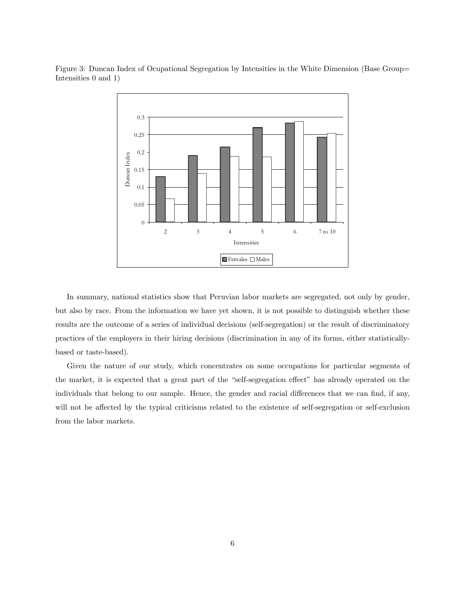

Figure 3: Duncan Index of Ocupational Segregation by Intensities in the White Dimension (Base Group= Intensities 0 and 1)

In summary, national statistics show that Peruvian labor markets are segregated, not only by gender, but also by race. From the information we have yet shown, it is not possible to distinguish whether these results are the outcome of a series of individual decisions (self-segregation) or the result of discriminatory practices of the employers in their hiring decisions (discrimination in any of its forms, either statisticallybased or taste-based).

Given the nature of our study, which concentrates on some occupations for particular segments of the market, it is expected that a great part of the "self-segregation effect" has already operated on the individuals that belong to our sample. Hence, the gender and racial differences that we can find, if any, will not be affected by the typical criticisms related to the existence of self-segregation or self-exclusion from the labor markets.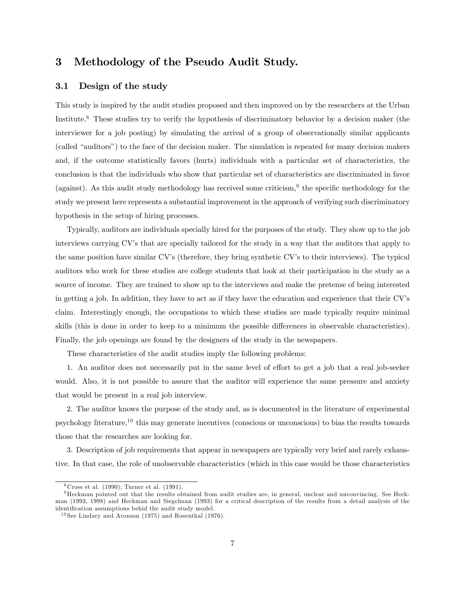## 3 Methodology of the Pseudo Audit Study.

#### 3.1 Design of the study

This study is inspired by the audit studies proposed and then improved on by the researchers at the Urban Institute.<sup>8</sup> These studies try to verify the hypothesis of discriminatory behavior by a decision maker (the interviewer for a job posting) by simulating the arrival of a group of observationally similar applicants (called "auditors") to the face of the decision maker. The simulation is repeated for many decision makers and, if the outcome statistically favors (hurts) individuals with a particular set of characteristics, the conclusion is that the individuals who show that particular set of characteristics are discriminated in favor (against). As this audit study methodology has received some criticism,  $9$  the specific methodology for the study we present here represents a substantial improvement in the approach of verifying such discriminatory hypothesis in the setup of hiring processes.

Typically, auditors are individuals specially hired for the purposes of the study. They show up to the job interviews carrying CV's that are specially tailored for the study in a way that the auditors that apply to the same position have similar CV's (therefore, they bring synthetic CV's to their interviews). The typical auditors who work for these studies are college students that look at their participation in the study as a source of income. They are trained to show up to the interviews and make the pretense of being interested in getting a job. In addition, they have to act as if they have the education and experience that their CV's claim. Interestingly enough, the occupations to which these studies are made typically require minimal skills (this is done in order to keep to a minimum the possible differences in observable characteristics). Finally, the job openings are found by the designers of the study in the newspapers.

These characteristics of the audit studies imply the following problems:

1. An auditor does not necessarily put in the same level of effort to get a job that a real job-seeker would. Also, it is not possible to assure that the auditor will experience the same pressure and anxiety that would be present in a real job interview.

2. The auditor knows the purpose of the study and, as is documented in the literature of experimental psychology literature,<sup>10</sup> this may generate incentives (conscious or unconscious) to bias the results towards those that the researches are looking for.

3. Description of job requirements that appear in newspapers are typically very brief and rarely exhaustive. In that case, the role of unobservable characteristics (which in this case would be those characteristics

 $8Cross et al. (1990); Turner et al. (1991).$ 

<sup>9</sup>Heckman pointed out that the results obtained from audit studies are, in general, unclear and unconvincing. See Heckman (1993, 1998) and Heckman and Siegelman (1993) for a critical description of the results from a detail analysis of the identification assumptions behid the audit study model.

 $10$  See Lindzey and Aronson (1975) and Rosenthal (1976).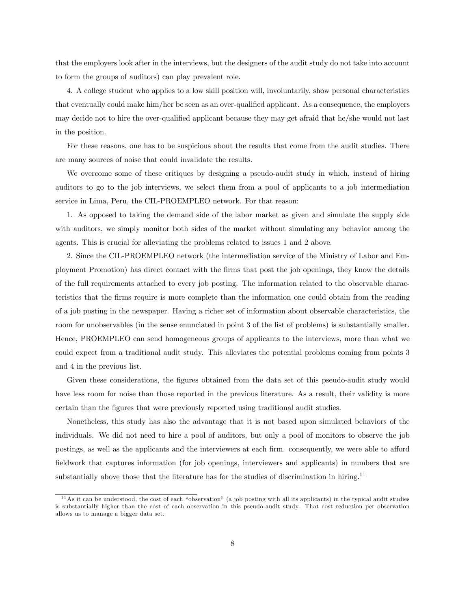that the employers look after in the interviews, but the designers of the audit study do not take into account to form the groups of auditors) can play prevalent role.

4. A college student who applies to a low skill position will, involuntarily, show personal characteristics that eventually could make him/her be seen as an over-qualified applicant. As a consequence, the employers may decide not to hire the over-qualified applicant because they may get afraid that he/she would not last in the position.

For these reasons, one has to be suspicious about the results that come from the audit studies. There are many sources of noise that could invalidate the results.

We overcome some of these critiques by designing a pseudo-audit study in which, instead of hiring auditors to go to the job interviews, we select them from a pool of applicants to a job intermediation service in Lima, Peru, the CIL-PROEMPLEO network. For that reason:

1. As opposed to taking the demand side of the labor market as given and simulate the supply side with auditors, we simply monitor both sides of the market without simulating any behavior among the agents. This is crucial for alleviating the problems related to issues 1 and 2 above.

2. Since the CIL-PROEMPLEO network (the intermediation service of the Ministry of Labor and Employment Promotion) has direct contact with the firms that post the job openings, they know the details of the full requirements attached to every job posting. The information related to the observable characteristics that the firms require is more complete than the information one could obtain from the reading of a job posting in the newspaper. Having a richer set of information about observable characteristics, the room for unobservables (in the sense enunciated in point 3 of the list of problems) is substantially smaller. Hence, PROEMPLEO can send homogeneous groups of applicants to the interviews, more than what we could expect from a traditional audit study. This alleviates the potential problems coming from points 3 and 4 in the previous list.

Given these considerations, the figures obtained from the data set of this pseudo-audit study would have less room for noise than those reported in the previous literature. As a result, their validity is more certain than the figures that were previously reported using traditional audit studies.

Nonetheless, this study has also the advantage that it is not based upon simulated behaviors of the individuals. We did not need to hire a pool of auditors, but only a pool of monitors to observe the job postings, as well as the applicants and the interviewers at each firm. consequently, we were able to afford fieldwork that captures information (for job openings, interviewers and applicants) in numbers that are substantially above those that the literature has for the studies of discrimination in hiring.<sup>11</sup>

<sup>1 1</sup>As it can be understood, the cost of each "observation" (a job posting with all its applicants) in the typical audit studies is substantially higher than the cost of each observation in this pseudo-audit study. That cost reduction per observation allows us to manage a bigger data set.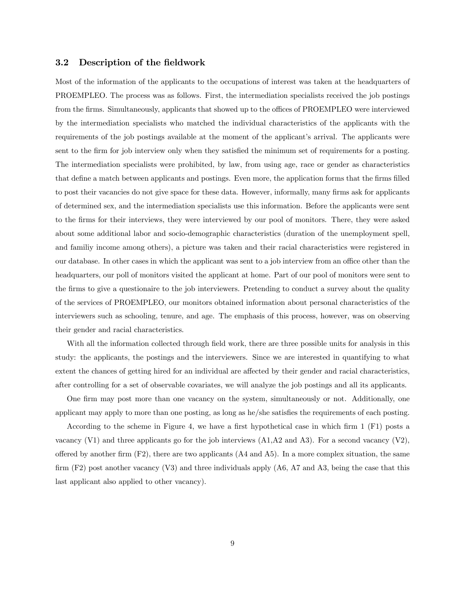#### 3.2 Description of the fieldwork

Most of the information of the applicants to the occupations of interest was taken at the headquarters of PROEMPLEO. The process was as follows. First, the intermediation specialists received the job postings from the firms. Simultaneously, applicants that showed up to the offices of PROEMPLEO were interviewed by the intermediation specialists who matched the individual characteristics of the applicants with the requirements of the job postings available at the moment of the applicant's arrival. The applicants were sent to the firm for job interview only when they satisfied the minimum set of requirements for a posting. The intermediation specialists were prohibited, by law, from using age, race or gender as characteristics that define a match between applicants and postings. Even more, the application forms that the firms filled to post their vacancies do not give space for these data. However, informally, many firms ask for applicants of determined sex, and the intermediation specialists use this information. Before the applicants were sent to the firms for their interviews, they were interviewed by our pool of monitors. There, they were asked about some additional labor and socio-demographic characteristics (duration of the unemployment spell, and familiy income among others), a picture was taken and their racial characteristics were registered in our database. In other cases in which the applicant was sent to a job interview from an office other than the headquarters, our poll of monitors visited the applicant at home. Part of our pool of monitors were sent to the firms to give a questionaire to the job interviewers. Pretending to conduct a survey about the quality of the services of PROEMPLEO, our monitors obtained information about personal characteristics of the interviewers such as schooling, tenure, and age. The emphasis of this process, however, was on observing their gender and racial characteristics.

With all the information collected through field work, there are three possible units for analysis in this study: the applicants, the postings and the interviewers. Since we are interested in quantifying to what extent the chances of getting hired for an individual are affected by their gender and racial characteristics, after controlling for a set of observable covariates, we will analyze the job postings and all its applicants.

One firm may post more than one vacancy on the system, simultaneously or not. Additionally, one applicant may apply to more than one posting, as long as he/she satisfies the requirements of each posting.

According to the scheme in Figure 4, we have a first hypothetical case in which firm 1 (F1) posts a vacancy (V1) and three applicants go for the job interviews  $(A1, A2 \text{ and } A3)$ . For a second vacancy (V2), offered by another firm  $(F2)$ , there are two applicants  $(A4 \text{ and } A5)$ . In a more complex situation, the same firm (F2) post another vacancy (V3) and three individuals apply (A6, A7 and A3, being the case that this last applicant also applied to other vacancy).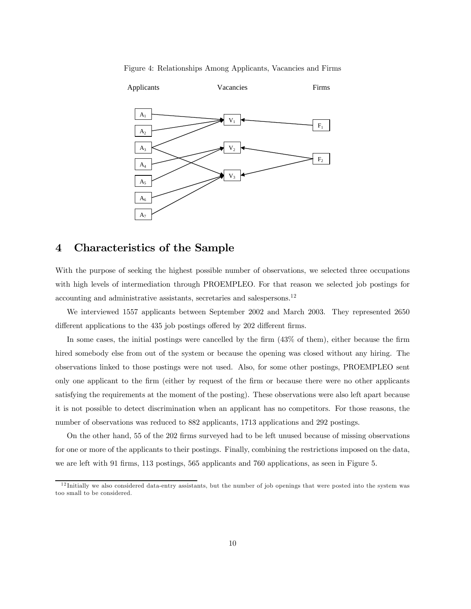Figure 4: Relationships Among Applicants, Vacancies and Firms



### 4 Characteristics of the Sample

With the purpose of seeking the highest possible number of observations, we selected three occupations with high levels of intermediation through PROEMPLEO. For that reason we selected job postings for accounting and administrative assistants, secretaries and salespersons.<sup>12</sup>

We interviewed 1557 applicants between September 2002 and March 2003. They represented 2650 different applications to the 435 job postings offered by 202 different firms.

In some cases, the initial postings were cancelled by the firm (43% of them), either because the firm hired somebody else from out of the system or because the opening was closed without any hiring. The observations linked to those postings were not used. Also, for some other postings, PROEMPLEO sent only one applicant to the firm (either by request of the firm or because there were no other applicants satisfying the requirements at the moment of the posting). These observations were also left apart because it is not possible to detect discrimination when an applicant has no competitors. For those reasons, the number of observations was reduced to 882 applicants, 1713 applications and 292 postings.

On the other hand, 55 of the 202 firms surveyed had to be left unused because of missing observations for one or more of the applicants to their postings. Finally, combining the restrictions imposed on the data, we are left with 91 firms, 113 postings, 565 applicants and 760 applications, as seen in Figure 5.

 $12$ Initially we also considered data-entry assistants, but the number of job openings that were posted into the system was too small to be considered.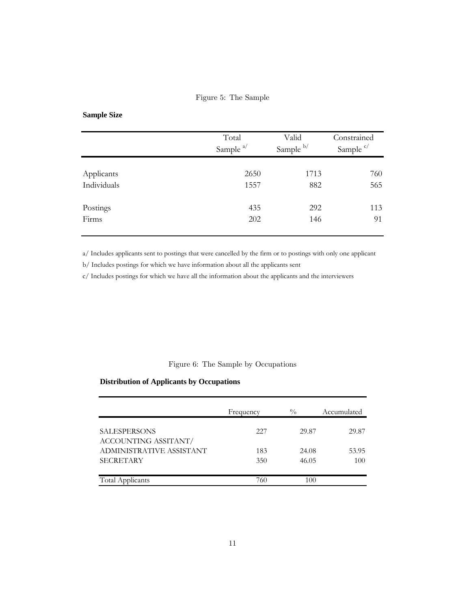#### Figure 5: The Sample

## **Sample Size**

|             | Total<br>Sample $a/$ | Valid<br>Sample b/ | Constrained<br>Sample <sup>c/</sup> |
|-------------|----------------------|--------------------|-------------------------------------|
| Applicants  | 2650                 | 1713               | 760                                 |
| Individuals | 1557                 | 882                | 565                                 |
| Postings    | 435                  | 292                | 113                                 |
| Firms       | 202                  | 146                | 91                                  |

a/ Includes applicants sent to postings that were cancelled by the firm or to postings with only one applicant

b/ Includes postings for which we have information about all the applicants sent

c/ Includes postings for which we have all the information about the applicants and the interviewers

#### Figure 6: The Sample by Occupations

#### **Distribution of Applicants by Occupations**

|                                             | Frequency | $\frac{0}{0}$ | Accumulated |
|---------------------------------------------|-----------|---------------|-------------|
| <b>SALESPERSONS</b><br>ACCOUNTING ASSITANT/ | 227       | 29.87         | 29.87       |
| ADMINISTRATIVE ASSISTANT                    | 183       | 24.08         | 53.95       |
| <b>SECRETARY</b>                            | 350       | 46.05         | 100         |
| Total Applicants                            | 760       | 100           |             |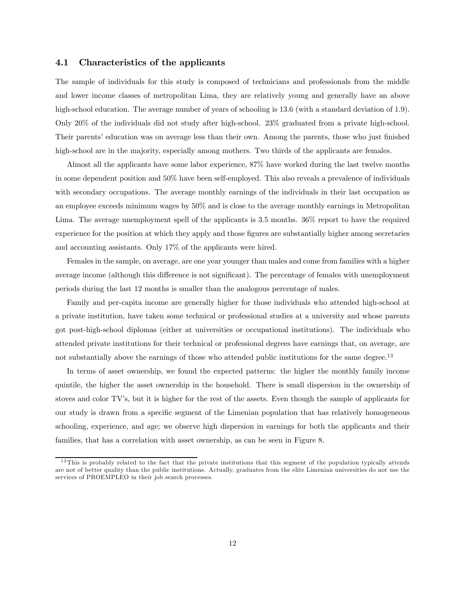#### 4.1 Characteristics of the applicants

The sample of individuals for this study is composed of technicians and professionals from the middle and lower income classes of metropolitan Lima, they are relatively young and generally have an above high-school education. The average number of years of schooling is 13.6 (with a standard deviation of 1.9). Only 20% of the individuals did not study after high-school. 23% graduated from a private high-school. Their parents' education was on average less than their own. Among the parents, those who just finished high-school are in the majority, especially among mothers. Two thirds of the applicants are females.

Almost all the applicants have some labor experience, 87% have worked during the last twelve months in some dependent position and 50% have been self-employed. This also reveals a prevalence of individuals with secondary occupations. The average monthly earnings of the individuals in their last occupation as an employee exceeds minimum wages by 50% and is close to the average monthly earnings in Metropolitan Lima. The average unemployment spell of the applicants is 3.5 months.  $36\%$  report to have the required experience for the position at which they apply and those figures are substantially higher among secretaries and accounting assistants. Only 17% of the applicants were hired.

Females in the sample, on average, are one year younger than males and come from families with a higher average income (although this difference is not significant). The percentage of females with unemployment periods during the last 12 months is smaller than the analogous percentage of males.

Family and per-capita income are generally higher for those individuals who attended high-school at a private institution, have taken some technical or professional studies at a university and whose parents got post-high-school diplomas (either at universities or occupational institutions). The individuals who attended private institutions for their technical or professional degrees have earnings that, on average, are not substantially above the earnings of those who attended public institutions for the same degree.<sup>13</sup>

In terms of asset ownership, we found the expected patterns: the higher the monthly family income quintile, the higher the asset ownership in the household. There is small dispersion in the ownership of stoves and color TV's, but it is higher for the rest of the assets. Even though the sample of applicants for our study is drawn from a specific segment of the Limenian population that has relatively homogeneous schooling, experience, and age; we observe high dispersion in earnings for both the applicants and their families, that has a correlation with asset ownership, as can be seen in Figure 8.

 $13$ This is probably related to the fact that the private institutions that this segment of the population typically attends are not of better quality than the public institutions. Actually, graduates from the elite Limenian universities do not use the services of PROEMPLEO in their job search processes.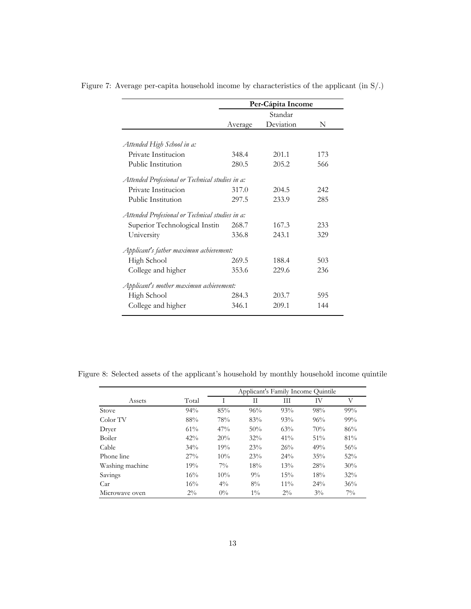|                                                 | Per-Cápita Income |           |     |
|-------------------------------------------------|-------------------|-----------|-----|
|                                                 |                   | Standar   |     |
|                                                 | Average           | Deviation | N   |
|                                                 |                   |           |     |
| Attended High School in a:                      |                   |           |     |
| Private Institucion                             | 348.4             | 201.1     | 173 |
| Public Institution                              | 280.5             | 205.2     | 566 |
| Attended Profesional or Technical studies in a: |                   |           |     |
| Private Institucion                             | 317.0             | 204.5     | 242 |
| Public Institution                              | 297.5             | 233.9     | 285 |
| Attended Profesional or Technical studies in a: |                   |           |     |
| Superior Technological Institu                  | 268.7             | 167.3     | 233 |
| University                                      | 336.8             | 243.1     | 329 |
| Applicant's father maximun achievement:         |                   |           |     |
| High School                                     | 269.5             | 188.4     | 503 |
| College and higher                              | 353.6             | 229.6     | 236 |
| Applicant's mother maximun achievement:         |                   |           |     |
| High School                                     | 284.3             | 203.7     | 595 |
| College and higher                              | 346.1             | 209.1     | 144 |

Figure 7: Average per-capita household income by characteristics of the applicant (in S/.)

Figure 8: Selected assets of the applicant's household by monthly household income quintile

|                 |       | Applicant's Family Income Quintile |       |        |       |        |
|-----------------|-------|------------------------------------|-------|--------|-------|--------|
| Assets          | Total |                                    | Н     | Ш      | IV    | V      |
| Stove           | 94%   | 85%                                | 96%   | 93%    | 98%   | 99%    |
| Color TV        | 88%   | 78%                                | 83%   | 93%    | 96%   | 99%    |
| Dryer           | 61%   | 47%                                | 50%   | 63%    | 70%   | 86%    |
| Boiler          | 42%   | 20%                                | 32%   | 41%    | 51%   | 81%    |
| Cable           | 34%   | 19%                                | 23%   | 26%    | 49%   | 56%    |
| Phone line      | 27%   | $10\%$                             | 23%   | 24%    | 35%   | $52\%$ |
| Washing machine | 19%   | $7\%$                              | 18%   | 13%    | 28%   | 30%    |
| Savings         | 16%   | $10\%$                             | $9\%$ | 15%    | 18%   | $32\%$ |
| Car             | 16%   | $4\%$                              | 8%    | $11\%$ | 24%   | 36%    |
| Microwave oven  | $2\%$ | $0\%$                              | $1\%$ | $2\%$  | $3\%$ | $7\%$  |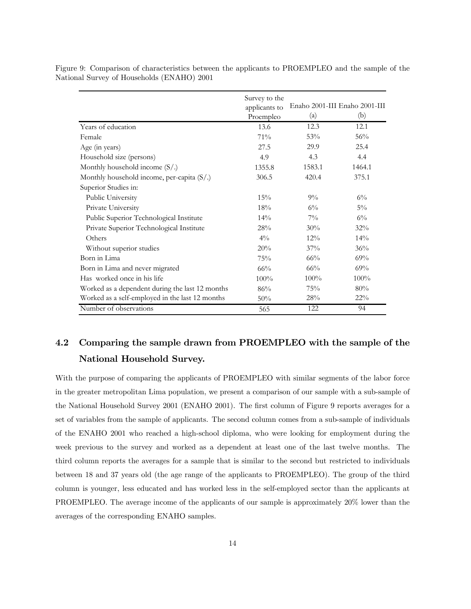Figure 9: Comparison of characteristics between the applicants to PROEMPLEO and the sample of the National Survey of Households (ENAHO) 2001

|                                                    | Survey to the<br>applicants to |                            | Enaho 2001-III Enaho 2001-III |
|----------------------------------------------------|--------------------------------|----------------------------|-------------------------------|
|                                                    | Proempleo                      | $\left( \mathrm{a}\right)$ | (b)                           |
| Years of education                                 | 13.6                           | 12.3                       | 12.1                          |
| Female                                             | 71%                            | 53%                        | 56%                           |
| Age (in years)                                     | 27.5                           | 29.9                       | 25.4                          |
| Household size (persons)                           | 4.9                            | 4.3                        | 4.4                           |
| Monthly household income $(S/\lambda)$             | 1355.8                         | 1583.1                     | 1464.1                        |
| Monthly household income, per-capita $(S/\lambda)$ | 306.5                          | 420.4                      | 375.1                         |
| Superior Studies in:                               |                                |                            |                               |
| Public University                                  | 15%                            | $9\%$                      | $6\%$                         |
| Private University                                 | 18%                            | $6\%$                      | $5\%$                         |
| Public Superior Technological Institute            | 14%                            | $7\%$                      | $6\%$                         |
| Private Superior Technological Institute           | 28%                            | 30%                        | 32%                           |
| Others                                             | $4\frac{0}{0}$                 | 12%                        | $14\%$                        |
| Without superior studies                           | 20%                            | 37%                        | 36%                           |
| Born in Lima                                       | 75%                            | 66%                        | 69%                           |
| Born in Lima and never migrated                    | 66%                            | 66%                        | 69%                           |
| Has worked once in his life                        | $100\%$                        | 100%                       | 100%                          |
| Worked as a dependent during the last 12 months    | 86%                            | 75%                        | 80%                           |
| Worked as a self-employed in the last 12 months    | 50%                            | 28%                        | 22%                           |
| Number of observations                             | 565                            | 122                        | 94                            |

## 4.2 Comparing the sample drawn from PROEMPLEO with the sample of the National Household Survey.

With the purpose of comparing the applicants of PROEMPLEO with similar segments of the labor force in the greater metropolitan Lima population, we present a comparison of our sample with a sub-sample of the National Household Survey 2001 (ENAHO 2001). The first column of Figure 9 reports averages for a set of variables from the sample of applicants. The second column comes from a sub-sample of individuals of the ENAHO 2001 who reached a high-school diploma, who were looking for employment during the week previous to the survey and worked as a dependent at least one of the last twelve months. The third column reports the averages for a sample that is similar to the second but restricted to individuals between 18 and 37 years old (the age range of the applicants to PROEMPLEO). The group of the third column is younger, less educated and has worked less in the self-employed sector than the applicants at PROEMPLEO. The average income of the applicants of our sample is approximately 20% lower than the averages of the corresponding ENAHO samples.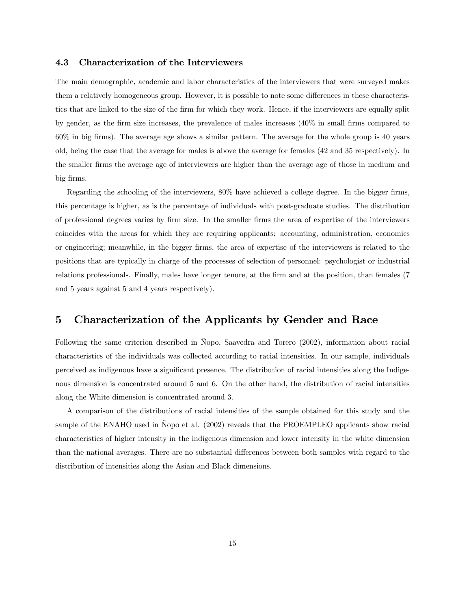#### 4.3 Characterization of the Interviewers

The main demographic, academic and labor characteristics of the interviewers that were surveyed makes them a relatively homogeneous group. However, it is possible to note some differences in these characteristics that are linked to the size of the firm for which they work. Hence, if the interviewers are equally split by gender, as the firm size increases, the prevalence of males increases (40% in small firms compared to 60% in big firms). The average age shows a similar pattern. The average for the whole group is 40 years old, being the case that the average for males is above the average for females (42 and 35 respectively). In the smaller firms the average age of interviewers are higher than the average age of those in medium and big firms.

Regarding the schooling of the interviewers, 80% have achieved a college degree. In the bigger firms, this percentage is higher, as is the percentage of individuals with post-graduate studies. The distribution of professional degrees varies by firm size. In the smaller firms the area of expertise of the interviewers coincides with the areas for which they are requiring applicants: accounting, administration, economics or engineering; meanwhile, in the bigger firms, the area of expertise of the interviewers is related to the positions that are typically in charge of the processes of selection of personnel: psychologist or industrial relations professionals. Finally, males have longer tenure, at the firm and at the position, than females (7 and 5 years against 5 and 4 years respectively).

## 5 Characterization of the Applicants by Gender and Race

Following the same criterion described in Ñopo, Saavedra and Torero (2002), information about racial characteristics of the individuals was collected according to racial intensities. In our sample, individuals perceived as indigenous have a significant presence. The distribution of racial intensities along the Indigenous dimension is concentrated around 5 and 6. On the other hand, the distribution of racial intensities along the White dimension is concentrated around 3.

A comparison of the distributions of racial intensities of the sample obtained for this study and the sample of the ENAHO used in Ñopo et al. (2002) reveals that the PROEMPLEO applicants show racial characteristics of higher intensity in the indigenous dimension and lower intensity in the white dimension than the national averages. There are no substantial differences between both samples with regard to the distribution of intensities along the Asian and Black dimensions.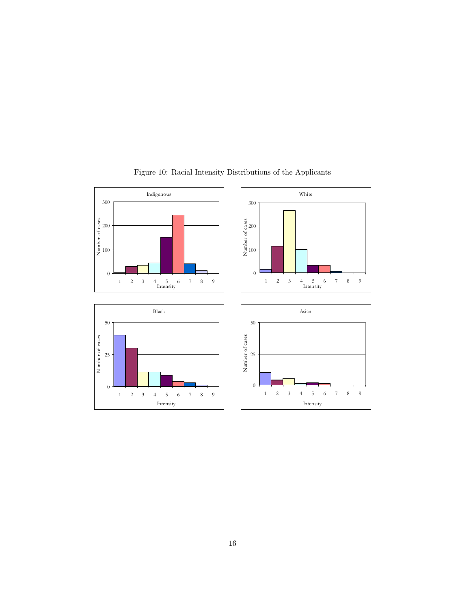

Figure 10: Racial Intensity Distributions of the Applicants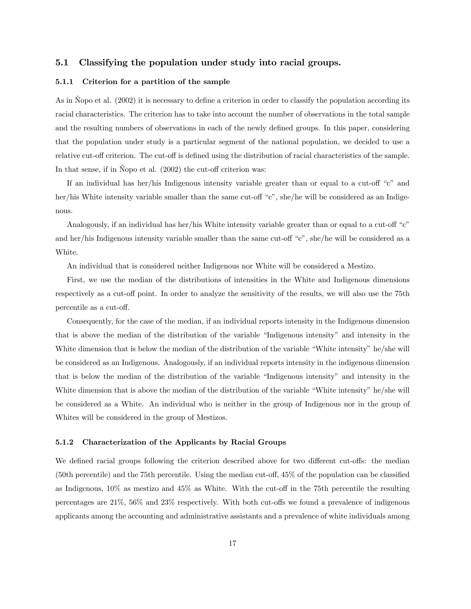#### 5.1 Classifying the population under study into racial groups.

#### 5.1.1 Criterion for a partition of the sample

As in Nopo et al. (2002) it is necessary to define a criterion in order to classify the population according its racial characteristics. The criterion has to take into account the number of observations in the total sample and the resulting numbers of observations in each of the newly defined groups. In this paper, considering that the population under study is a particular segment of the national population, we decided to use a relative cut-off criterion. The cut-off is defined using the distribution of racial characteristics of the sample. In that sense, if in Ñopo et al. (2002) the cut-off criterion was:

If an individual has her/his Indigenous intensity variable greater than or equal to a cut-off "c" and her/his White intensity variable smaller than the same cut-off "c", she/he will be considered as an Indigenous.

Analogously, if an individual has her/his White intensity variable greater than or equal to a cut-off "c" and her/his Indigenous intensity variable smaller than the same cut-off "c", she/he will be considered as a White.

An individual that is considered neither Indigenous nor White will be considered a Mestizo.

First, we use the median of the distributions of intensities in the White and Indigenous dimensions respectively as a cut-off point. In order to analyze the sensitivity of the results, we will also use the 75th percentile as a cut-off.

Consequently, for the case of the median, if an individual reports intensity in the Indigenous dimension that is above the median of the distribution of the variable "Indigenous intensity" and intensity in the White dimension that is below the median of the distribution of the variable "White intensity" he/she will be considered as an Indigenous. Analogously, if an individual reports intensity in the indigenous dimension that is below the median of the distribution of the variable "Indigenous intensity" and intensity in the White dimension that is above the median of the distribution of the variable "White intensity" he/she will be considered as a White. An individual who is neither in the group of Indigenous nor in the group of Whites will be considered in the group of Mestizos.

#### 5.1.2 Characterization of the Applicants by Racial Groups

We defined racial groups following the criterion described above for two different cut-offs: the median (50th percentile) and the 75th percentile. Using the median cut-off, 45% of the population can be classified as Indigenous, 10% as mestizo and 45% as White. With the cut-off in the 75th percentile the resulting percentages are 21%, 56% and 23% respectively. With both cut-offs we found a prevalence of indigenous applicants among the accounting and administrative assistants and a prevalence of white individuals among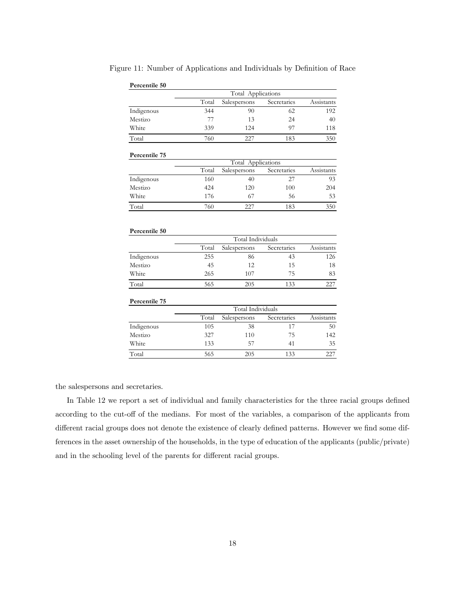| Percentile 50 |       |                    |             |            |
|---------------|-------|--------------------|-------------|------------|
|               |       | Total Applications |             |            |
|               | Total | Salespersons       | Secretaries | Assistants |
| Indigenous    | 344   | 90                 | 62          | 192        |
| Mestizo       | 77    | 13                 | 24          | 40         |
| White         | 339   | 124                | 97          | 118        |
| Total         | 760   | 227                | 183         | 350        |
| Percentile 75 |       |                    |             |            |
|               |       | Total Applications |             |            |
|               | Total | Salespersons       | Secretaries | Assistants |
| Indigenous    | 160   | 40                 | 27          | 93         |
| Mestizo       | 424   | 120                | 100         | 204        |
| White         | 176   | 67                 | 56          | 53         |
| Total         | 760   | 227                | 183         | 350        |
| Percentile 50 |       |                    |             |            |
|               |       | Total Individuals  |             |            |
|               | Total | Salespersons       | Secretaries | Assistants |
| Indigenous    | 255   | 86                 | 43          | 126        |
| Mestizo       | 45    | 12                 | 15          | 18         |
| White         | 265   | 107                | 75          | 83         |
| Total         | 565   | 205                | 133         | 227        |

Figure 11: Number of Applications and Individuals by Definition of Race

|            | Total Individuals |              |             |            |  |
|------------|-------------------|--------------|-------------|------------|--|
|            | Total             | Salespersons | Secretaries | Assistants |  |
| Indigenous | 255               | 86           | 43          | 126        |  |
| Mestizo    | 45                | 12           | 15          | 18         |  |
| White      | 265               | 107          | 75          | 83         |  |
| Total      | 565               | 205          |             |            |  |

#### **Percentile 75**

|            | Total Individuals |              |             |            |  |
|------------|-------------------|--------------|-------------|------------|--|
|            | Total             | Salespersons | Secretaries | Assistants |  |
| Indigenous | 105               | 38           | 17          | 50         |  |
| Mestizo    | 327               | 110          | 75          | 142        |  |
| White      | 133               | 57           | 41          | 35         |  |
| Total      | 565               | 205          | 133         | 227        |  |

the salespersons and secretaries.

In Table 12 we report a set of individual and family characteristics for the three racial groups defined according to the cut-off of the medians. For most of the variables, a comparison of the applicants from different racial groups does not denote the existence of clearly defined patterns. However we find some differences in the asset ownership of the households, in the type of education of the applicants (public/private) and in the schooling level of the parents for different racial groups.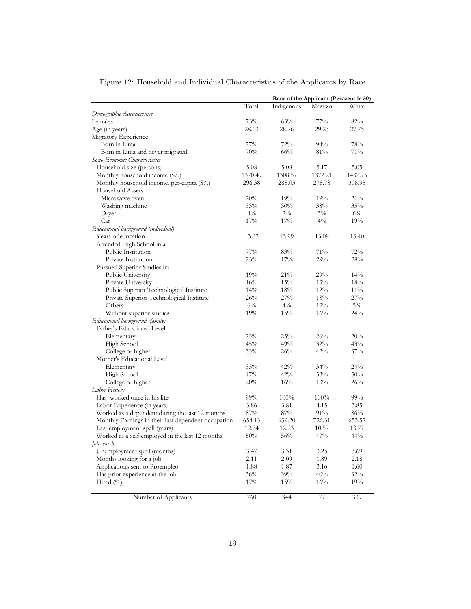|                                                     | Race of the Applicant (Perccentile 50) |              |              |             |
|-----------------------------------------------------|----------------------------------------|--------------|--------------|-------------|
|                                                     | Total                                  | Indigenous   | Mestizo      | White       |
| Demographic characteristics                         |                                        |              |              |             |
| Females                                             | 73%                                    | 63%          | $77\%$       | 82%         |
| Age (in years)                                      | 28.13                                  | 28.26        | 29.23        | 27.75       |
| Migratory Experience                                |                                        |              |              |             |
| Born in Lima                                        | 77%                                    | 72%          | 94%          | 78%         |
| Born in Lima and never migrated                     | 70%                                    | 66%          | 81%          | 71%         |
| Socio-Economic Characteristics                      |                                        |              |              |             |
| Household size (persons)                            | 5.08                                   | 5.08         | 5.17         | 5.05        |
| Monthly household income $(S/)$                     | 1370.49                                | 1308.57      | 1372.21      | 1432.75     |
| Monthly household income, per-capita $(S/\lambda)$  | 296.38                                 | 288.03       | 278.78       | 308.95      |
| Household Assets                                    |                                        |              |              |             |
| Microwave oven                                      | 20%                                    | 19%          | 19%          | 21%         |
| Washing machine                                     | 33%                                    | 30%          | 38%          | 35%         |
| Dryer                                               | $4\%$                                  | $2\%$        | $3\%$        | $6\%$       |
| Car                                                 | 17%                                    | 17%          | $4\%$        | 19%         |
| Educational background (individual)                 |                                        |              |              |             |
| Years of education                                  | 13.63                                  | 13.99        | 13.09        | 13.40       |
| Attended High School in a:                          |                                        |              |              |             |
| Public Institution                                  | 77%                                    | 83%          | 71%          | 72%         |
| Private Institution                                 | 23%                                    | 17%          | 29%          | 28%         |
| Pursued Superior Studies in:                        |                                        |              |              |             |
| Public University                                   | 19%                                    | 21%          | 29%          | 14%         |
| Private University                                  | 16%                                    | 15%          | 13%          | 18%         |
| Public Superior Technological Institute             | 14%                                    | 18%          | 12%          | 11%         |
| Private Superior Technological Institute            | 26%                                    | 27%          | 18%          | 27%         |
| Others                                              | $6\%$                                  | $4\%$        | 13%          | $5\%$       |
| Without superior studies                            | 19%                                    | 15%          | 16%          | 24%         |
| Educational background (family)                     |                                        |              |              |             |
| Father's Educational Level                          |                                        |              |              |             |
| Elementary                                          | 23%                                    | 25%          | 26%          | 20%         |
| High School                                         | 45%                                    | 49%          | 32%          | 43%         |
|                                                     | 33%                                    | 26%          | 42%          | 37%         |
| College or higher<br>Mother's Educational Level     |                                        |              |              |             |
|                                                     | 33%                                    | 42%          |              |             |
| Elementary                                          | 47%                                    | 42%          | 34%<br>53%   | 24%<br>50%  |
| High School                                         |                                        |              |              |             |
| College or higher<br>Labor History                  | 20%                                    | 16%          | 13%          | 26%         |
| Has worked once in his life                         | 99%                                    |              |              |             |
|                                                     | 3.86                                   | 100%<br>3.81 | 100%<br>4.15 | 99%<br>3.85 |
| Labor Experience (in years)                         |                                        |              |              |             |
| Worked as a dependent during the last 12 months     | 87%                                    | 87%          | 91%          | 86%         |
| Monthly Earnings in their last dependent occupation | 654.13                                 | 639.20       | 726.31       | 653.52      |
| Last employment spell (years)                       | 12.74                                  | 12.23        | 10.57        | 13.77       |
| Worked as a self-employed in the last 12 months     | 50%                                    | 56%          | 47%          | 44%         |
| Job search                                          |                                        |              |              |             |
| Unemployment spell (months)                         | 3.47                                   | 3.31         | 3.25         | 3.69        |
| Months looking for a job                            | 2.11                                   | 2.09         | 1.89         | 2.18        |
| Applications sent to Proempleo                      | 1.88                                   | 1.87         | 3.16         | 1.60        |
| Has prior experience at the job                     | 36%                                    | 39%          | 40%          | 32%         |
| Hired (%)                                           | 17%                                    | 15%          | 16%          | 19%         |
| Number of Applicants                                | 760                                    | 344          | 77           | 339         |

Figure 12: Household and Individual Characteristics of the Applicants by Race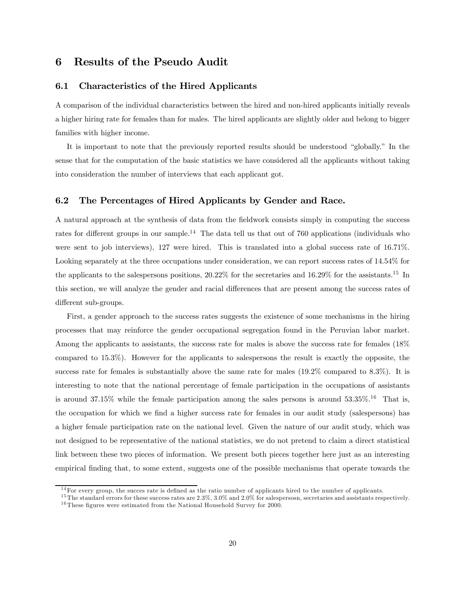### 6 Results of the Pseudo Audit

#### 6.1 Characteristics of the Hired Applicants

A comparison of the individual characteristics between the hired and non-hired applicants initially reveals a higher hiring rate for females than for males. The hired applicants are slightly older and belong to bigger families with higher income.

It is important to note that the previously reported results should be understood "globally." In the sense that for the computation of the basic statistics we have considered all the applicants without taking into consideration the number of interviews that each applicant got.

#### 6.2 The Percentages of Hired Applicants by Gender and Race.

A natural approach at the synthesis of data from the fieldwork consists simply in computing the success rates for different groups in our sample.<sup>14</sup> The data tell us that out of 760 applications (individuals who were sent to job interviews), 127 were hired. This is translated into a global success rate of 16.71%. Looking separately at the three occupations under consideration, we can report success rates of  $14.54\%$  for the applicants to the salespersons positions, 20.22% for the secretaries and 16.29% for the assistants.15 In this section, we will analyze the gender and racial differences that are present among the success rates of different sub-groups.

First, a gender approach to the success rates suggests the existence of some mechanisms in the hiring processes that may reinforce the gender occupational segregation found in the Peruvian labor market. Among the applicants to assistants, the success rate for males is above the success rate for females (18% compared to 15.3%). However for the applicants to salespersons the result is exactly the opposite, the success rate for females is substantially above the same rate for males  $(19.2\%$  compared to 8.3%). It is interesting to note that the national percentage of female participation in the occupations of assistants is around 37.15% while the female participation among the sales persons is around  $53.35\%$ .<sup>16</sup> That is, the occupation for which we find a higher success rate for females in our audit study (salespersons) has a higher female participation rate on the national level. Given the nature of our audit study, which was not designed to be representative of the national statistics, we do not pretend to claim a direct statistical link between these two pieces of information. We present both pieces together here just as an interesting empirical finding that, to some extent, suggests one of the possible mechanisms that operate towards the

<sup>&</sup>lt;sup>14</sup>For every group, the succes rate is defined as the ratio number of applicants hired to the number of applicants.

 $15$  The standard errors for these success rates are  $2.3\%$ ,  $3.0\%$  and  $2.0\%$  for salespersosn, secretaries and assistants respectively.  $16$ These figures were estimated from the National Household Survey for 2000.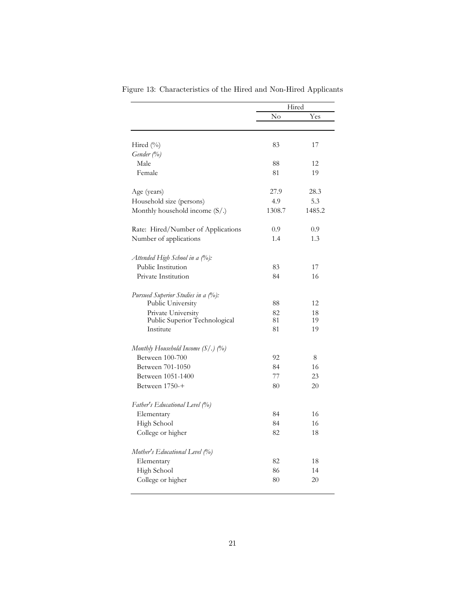|                                        | Hired  |        |
|----------------------------------------|--------|--------|
|                                        | No     | Yes    |
|                                        |        |        |
| Hired (%)                              | 83     | 17     |
| Gender (%)                             |        |        |
| Male                                   | 88     | 12     |
| Female                                 | 81     | 19     |
| Age (years)                            | 27.9   | 28.3   |
| Household size (persons)               | 4.9    | 5.3    |
| Monthly household income $(S/\lambda)$ | 1308.7 | 1485.2 |
| Rate: Hired/Number of Applications     | 0.9    | 0.9    |
| Number of applications                 | 1.4    | 1.3    |
| Attended High School in a (%):         |        |        |
| Public Institution                     | 83     | 17     |
| Private Institution                    | 84     | 16     |
| Pursued Superior Studies in a (%):     |        |        |
| Public University                      | 88     | 12     |
| Private University                     | 82     | 18     |
| Public Superior Technological          | 81     | 19     |
| Institute                              | 81     | 19     |
| Monthly Household Income $(S/\.)$ (%)  |        |        |
| Between 100-700                        | 92     | 8      |
| Between 701-1050                       | 84     | 16     |
| Between 1051-1400                      | 77     | 23     |
| Between 1750-+                         | 80     | 20     |
| Father's Educational Level (%)         |        |        |
| Elementary                             | 84     | 16     |
| High School                            | 84     | 16     |
| College or higher                      | 82     | 18     |
| Mother's Educational Level (%)         |        |        |
| Elementary                             | 82     | 18     |
| High School                            | 86     | 14     |
| College or higher                      | 80     | 20     |

Figure 13: Characteristics of the Hired and Non-Hired Applicants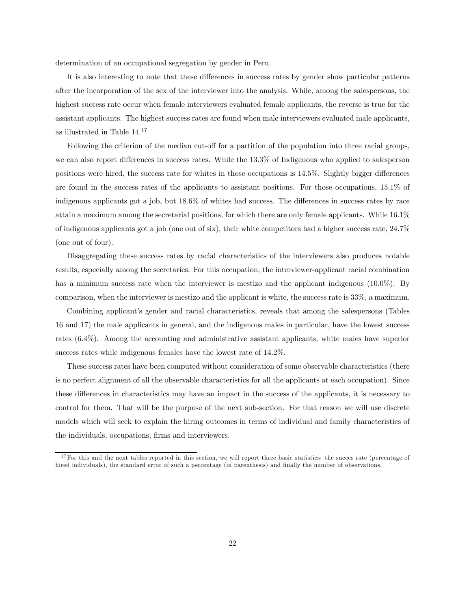determination of an occupational segregation by gender in Peru.

It is also interesting to note that these differences in success rates by gender show particular patterns after the incorporation of the sex of the interviewer into the analysis. While, among the salespersons, the highest success rate occur when female interviewers evaluated female applicants, the reverse is true for the assistant applicants. The highest success rates are found when male interviewers evaluated male applicants, as illustrated in Table 14.17

Following the criterion of the median cut-off for a partition of the population into three racial groups, we can also report differences in success rates. While the 13.3% of Indigenous who applied to salesperson positions were hired, the success rate for whites in those occupations is 14.5%. Slightly bigger differences are found in the success rates of the applicants to assistant positions. For those occupations, 15.1% of indigenous applicants got a job, but 18.6% of whites had success. The differences in success rates by race attain a maximum among the secretarial positions, for which there are only female applicants. While 16.1% of indigenous applicants got a job (one out of six), their white competitors had a higher success rate, 24.7% (one out of four).

Disaggregating these success rates by racial characteristics of the interviewers also produces notable results, especially among the secretaries. For this occupation, the interviewer-applicant racial combination has a minimum success rate when the interviewer is mestizo and the applicant indigenous (10.0%). By comparison, when the interviewer is mestizo and the applicant is white, the success rate is 33%, a maximum.

Combining applicant's gender and racial characteristics, reveals that among the salespersons (Tables 16 and 17) the male applicants in general, and the indigenous males in particular, have the lowest success rates (6.4%). Among the accounting and administrative assistant applicants, white males have superior success rates while indigenous females have the lowest rate of 14.2%.

These success rates have been computed without consideration of some observable characteristics (there is no perfect alignment of all the observable characteristics for all the applicants at each occupation). Since these differences in characteristics may have an impact in the success of the applicants, it is necessary to control for them. That will be the purpose of the next sub-section. For that reason we will use discrete models which will seek to explain the hiring outcomes in terms of individual and family characteristics of the individuals, occupations, firms and interviewers.

 $17$  For this and the next tables reported in this section, we will report three basic statistics: the succes rate (percentage of hired individuals), the standard error of such a percentage (in parenthesis) and finally the number of observations.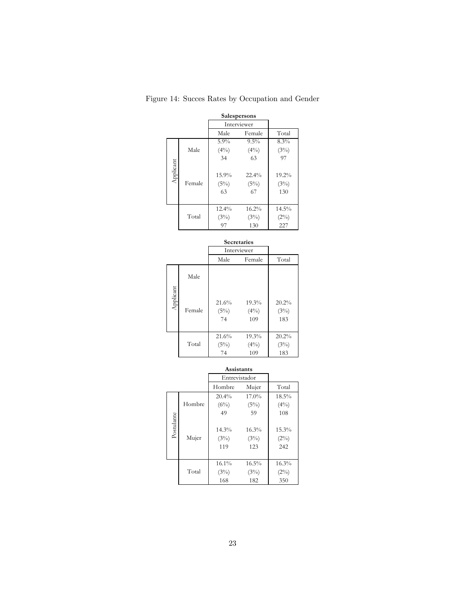| Salespersons |        |          |             |         |  |  |
|--------------|--------|----------|-------------|---------|--|--|
|              |        |          | Interviewer |         |  |  |
|              |        | Male     | Female      | Total   |  |  |
|              |        | 5.9%     | 9.5%        | 8.3%    |  |  |
|              | Male   | $(4\%)$  | $(4\%)$     | (3%)    |  |  |
|              |        | 34       | 63          | 97      |  |  |
| Applicant    |        | 15.9%    | $22.4\%$    | 19.2%   |  |  |
|              | Female | (5%)     | (5%)        | (3%)    |  |  |
|              |        | 63       |             |         |  |  |
|              |        |          | 67          | 130     |  |  |
|              |        | $12.4\%$ | 16.2%       | 14.5%   |  |  |
|              | Total  | (3%)     | (3%)        | $(2\%)$ |  |  |
|              |        | 97       | 130         | 227     |  |  |

Figure 14: Succes Rates by Occupation and Gender

| <b>Secretaries</b> |        |                     |                         |                      |  |
|--------------------|--------|---------------------|-------------------------|----------------------|--|
|                    |        |                     | Interviewer             |                      |  |
|                    |        | Male                | Female                  | Total                |  |
|                    | Male   |                     |                         |                      |  |
| Applicant          | Female | 21.6%<br>(5%)<br>74 | 19.3%<br>$(4\%)$<br>109 | 20.2%<br>(3%)<br>183 |  |
|                    | Total  | 21.6%<br>(5%)<br>74 | 19.3%<br>$(4\%)$<br>109 | 20.2%<br>(3%)<br>183 |  |

|            |        | Entrevistador        |                      |                         |
|------------|--------|----------------------|----------------------|-------------------------|
|            |        | Hombre               | Mujer                | Total                   |
|            |        | 20.4%                | $17.0\%$             | 18.5%                   |
|            | Hombre | (6%)                 | $(5\%)$              | $(4\%)$                 |
|            |        | 49                   | 59                   | 108                     |
| Postulante | Mujer  | 14.3%<br>(3%)<br>119 | 16.3%<br>(3%)<br>123 | 15.3%<br>$(2\%)$<br>242 |
|            | Total  | 16.1%<br>(3%)<br>168 | 16.5%<br>(3%)<br>182 | 16.3%<br>$(2\%)$<br>350 |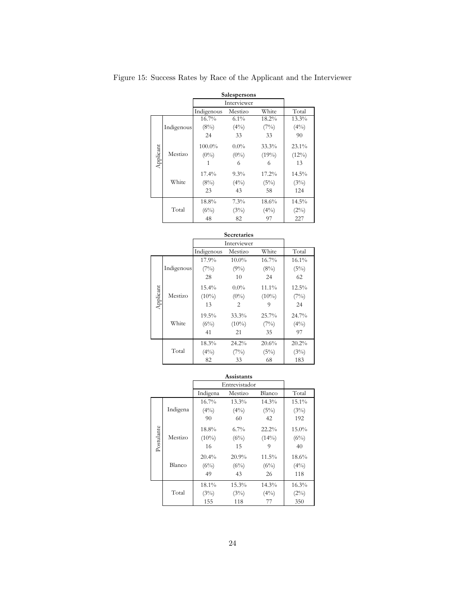|           |            |             | Salespersons |          |          |
|-----------|------------|-------------|--------------|----------|----------|
|           |            | Interviewer |              |          |          |
|           |            | Indigenous  | Mestizo      | White    | Total    |
|           |            | 16.7%       | $6.1\%$      | 18.2%    | 13.3%    |
|           | Indigenous | (8%)        | $(4\%)$      | (7%)     | $(4\%)$  |
|           |            | 24          | 33           | 33       | 90       |
|           |            | 100.0%      | $0.0\%$      | 33.3%    | $23.1\%$ |
|           | Mestizo    | $(0\%)$     | $(0\%)$      | $(19\%)$ | $(12\%)$ |
| Applicant |            | 1           | 6            | 6        | 13       |
|           |            | 17.4%       | $9.3\%$      | 17.2%    | 14.5%    |
|           | White      | (8%)        | $(4\%)$      | (5%)     | (3%)     |
|           |            | 23          | 43           | 58       | 124      |
|           |            | 18.8%       | $7.3\%$      | 18.6%    | 14.5%    |
|           | Total      | (6%)        | (3%)         | $(4\%)$  | $(2\%)$  |
|           |            | 48          | 82           | 97       | 227      |

Figure 15: Success Rates by Race of the Applicant and the Interviewer

|           |            |                      | <b>Secretaries</b>      |                     |                        |  |  |  |
|-----------|------------|----------------------|-------------------------|---------------------|------------------------|--|--|--|
|           |            |                      | Interviewer             |                     |                        |  |  |  |
|           |            | Indigenous           | Mestizo                 | White               | Total                  |  |  |  |
|           |            | 17.9%                | $10.0\%$                | 16.7%               | 16.1%                  |  |  |  |
|           | Indigenous | (7%)                 | $(9\%)$                 | (8%)                | (5%)                   |  |  |  |
|           |            | 28                   | 10                      | 24                  | 62                     |  |  |  |
| Applicant | Mestizo    | $15.4\%$<br>$(10\%)$ | $0.0\%$<br>$(0\%)$      | 11.1%<br>$(10\%)$   | 12.5%<br>(7%)          |  |  |  |
|           |            | 13                   | 2                       | 9                   | 24                     |  |  |  |
|           | White      | 19.5%<br>(6%)<br>41  | 33.3%<br>$(10\%)$<br>21 | 25.7%<br>(7%)<br>35 | 24.7%<br>$(4\%)$<br>97 |  |  |  |
|           |            | 18.3%                | 24.2%                   | 20.6%               | 20.2%                  |  |  |  |
|           | Total      | $(4\%)$              | (7%)                    | (5%)                | (3%)                   |  |  |  |
|           |            | 82                   | 33                      | 68                  | 183                    |  |  |  |

|            |          |               | Assistants |          |          |
|------------|----------|---------------|------------|----------|----------|
|            |          | Entrevistador |            |          |          |
|            |          | Indigena      | Mestizo    | Blanco   | Total    |
|            |          | 16.7%         | $13.3\%$   | 14.3%    | 15.1%    |
|            | Indigena | $(4\%)$       | $(4\%)$    | (5%)     | (3%)     |
|            |          | 90            | 60         | 42       | 192      |
|            |          | 18.8%         | $6.7\%$    | 22.2%    | $15.0\%$ |
|            | Mestizo  | $(10\%)$      | (6%)       | $(14\%)$ | (6%)     |
| Postulante |          | 16            | 15         | 9        | 40       |
|            |          | 20.4%         | 20.9%      | 11.5%    | 18.6%    |
|            | Blanco   | (6%)          | (6%)       | (6%)     | $(4\%)$  |
|            |          | 49            | 43         | 26       | 118      |
|            |          | 18.1%         | $15.3\%$   | 14.3%    | 16.3%    |
|            | Total    | (3%)          | (3%)       | $(4\%)$  | (2%)     |
|            |          | 155           | 118        | 77       | 350      |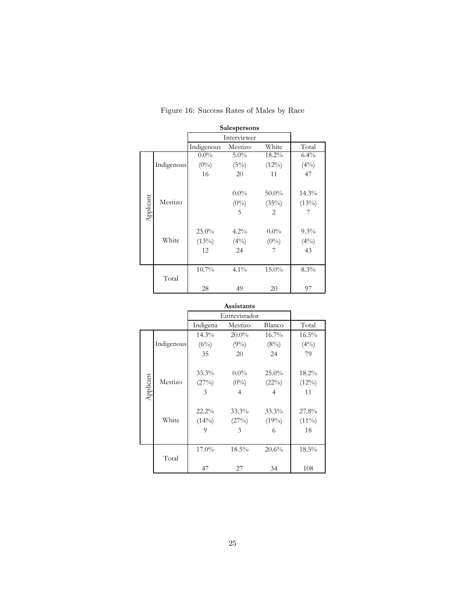|           |            |                         | <b>Salespersons</b>      |                                                       |                          |  |  |
|-----------|------------|-------------------------|--------------------------|-------------------------------------------------------|--------------------------|--|--|
|           |            |                         | Interviewer              |                                                       |                          |  |  |
|           |            | Indigenous              | Mestizo                  | White                                                 | Total                    |  |  |
|           |            | $0.0\%$                 | $5.0\%$                  | 18.2%                                                 | $6.4\%$                  |  |  |
|           | Indigenous | $(0\%)$                 | $(5\%)$                  | $(12\%)$                                              | $(4\%)$                  |  |  |
|           |            | 16                      | 20                       | 11                                                    | 47                       |  |  |
| Applicant | Mestizo    |                         | $0.0\%$<br>$(0\%)$<br>5  | $50.0\%$<br>$(35\%)$<br>$\mathfrak{D}_{\mathfrak{p}}$ | $14.3\%$<br>(13%)<br>7   |  |  |
|           | White      | 25.0%<br>$(13\%)$<br>12 | $4.2\%$<br>$(4\%)$<br>24 | $0.0\%$<br>$(0\%)$                                    | $9.3\%$<br>$(4\%)$<br>43 |  |  |
|           | Total      | 10.7%                   | $4.1\%$                  | $15.0\%$                                              | 8.3%                     |  |  |
|           |            | 28                      | 49                       | 20                                                    | 97                       |  |  |

## Figure 16: Success Rates of Males by Race

|           |            |                           | Assistants              |                           |                         |
|-----------|------------|---------------------------|-------------------------|---------------------------|-------------------------|
|           |            | Entrevistador             |                         |                           |                         |
|           |            | Indigena                  | Mestizo                 | Blanco                    | Total                   |
|           |            | $14.3\%$                  | $20.0\%$                | $16.7\%$                  | $16.5\%$                |
|           | Indigenous | $(6\%)$                   | $(9\%)$                 | (8%)                      | $(4\%)$                 |
|           |            | 35                        | 20                      | 24                        | 79                      |
| Applicant | Mestizo    | $33.3\%$<br>$(27\%)$<br>3 | $0.0\%$<br>$(0\%)$<br>4 | 25.0%<br>(22%)<br>4       | 18.2%<br>$(12\%)$<br>11 |
|           | White      | $22.2\%$<br>$(14\%)$<br>9 | 33.3%<br>(27%)<br>3     | $33.3\%$<br>$(19\%)$<br>6 | 27.8%<br>$(11\%)$<br>18 |
|           | Total      | 17.0%                     | $18.5\%$                | 20.6%                     | 18.5%                   |
|           |            | 47                        | 27                      | 34                        | 108                     |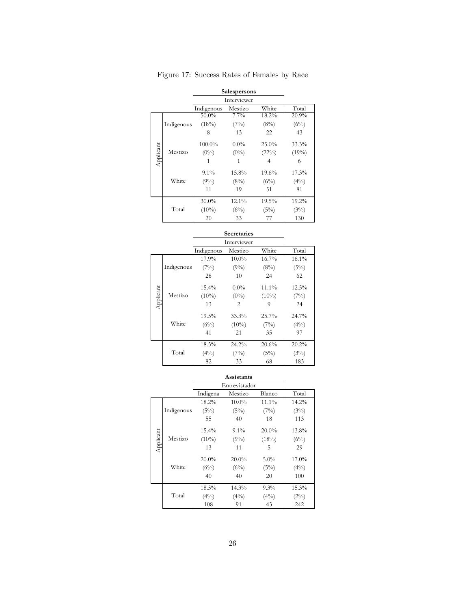|           |            |            | Salespersons |          |          |
|-----------|------------|------------|--------------|----------|----------|
|           |            |            | Interviewer  |          |          |
|           |            | Indigenous | Mestizo      | White    | Total    |
|           |            | $50.0\%$   | 7.7%         | 18.2%    | 20.9%    |
|           | Indigenous | $(18\%)$   | (7%)         | (8%)     | (6%)     |
|           |            | 8          | 13           | 22       | 43       |
|           |            | 100.0%     | $0.0\%$      | $25.0\%$ | 33.3%    |
|           | Mestizo    | $(0\%)$    | $(0\%)$      | (22%)    | (19%)    |
| Applicant |            |            |              | 4        | 6        |
|           |            | $9.1\%$    | 15.8%        | 19.6%    | 17.3%    |
|           | White      | $(9\%)$    | (8%)         | (6%)     | $(4\%)$  |
|           |            | 11         | 19           | 51       | 81       |
|           |            | $30.0\%$   | $12.1\%$     | $19.5\%$ | $19.2\%$ |
|           | Total      | $(10\%)$   | (6%)         | (5%)     | (3%)     |
|           |            | 20         | 33           | 77       | 130      |

Figure 17: Success Rates of Females by Race

|           |            |             | Secretaries |          |          |
|-----------|------------|-------------|-------------|----------|----------|
|           |            | Interviewer |             |          |          |
|           |            | Indigenous  | Mestizo     | White    | Total    |
|           |            | 17.9%       | $10.0\%$    | $16.7\%$ | 16.1%    |
|           | Indigenous | (7%)        | $(9\%)$     | (8%)     | (5%)     |
|           |            | 28          | 10          | 24       | 62       |
|           |            | $15.4\%$    | $0.0\%$     | 11.1%    | $12.5\%$ |
|           | Mestizo    | $(10\%)$    | $(0\%)$     | $(10\%)$ | (7%)     |
| Applicant |            | 13          | 2           | 9        | 24       |
|           |            | $19.5\%$    | 33.3%       | 25.7%    | 24.7%    |
|           | White      | $(6\%)$     | $(10\%)$    | (7%)     | $(4\%)$  |
|           |            | 41          | 21          | 35       | 97       |
|           |            | 18.3%       | $24.2\%$    | 20.6%    | 20.2%    |
|           | Total      | $(4\%)$     | (7%)        | (5%)     | (3%)     |
|           |            | 82          | 33          | 68       | 183      |

|           |            |               | Assistants |          |          |
|-----------|------------|---------------|------------|----------|----------|
|           |            | Entrevistador |            |          |          |
|           |            | Indigena      | Mestizo    | Blanco   | Total    |
|           |            | $18.2\%$      | $10.0\%$   | $11.1\%$ | $14.2\%$ |
|           | Indigenous | (5%)          | (5%)       | (7%)     | (3%)     |
|           |            | 55            | 40         | 18       | 113      |
|           |            | $15.4\%$      | $9.1\%$    | $20.0\%$ | 13.8%    |
|           | Mestizo    | $(10\%)$      | $(9\%)$    | (18%)    | (6%)     |
| Applicant |            | 13            | 11         | 5        | 29       |
|           |            | $20.0\%$      | $20.0\%$   | $5.0\%$  | 17.0%    |
|           | White      | (6%)          | (6%)       | (5%)     | $(4\%)$  |
|           |            | 40            | 40         | 20       | 100      |
|           |            | 18.5%         | 14.3%      | $9.3\%$  | 15.3%    |
|           | Total      | $(4\%)$       | $(4\%)$    | $(4\%)$  | $(2\%)$  |
|           |            | 108           | 91         | 43       | 242      |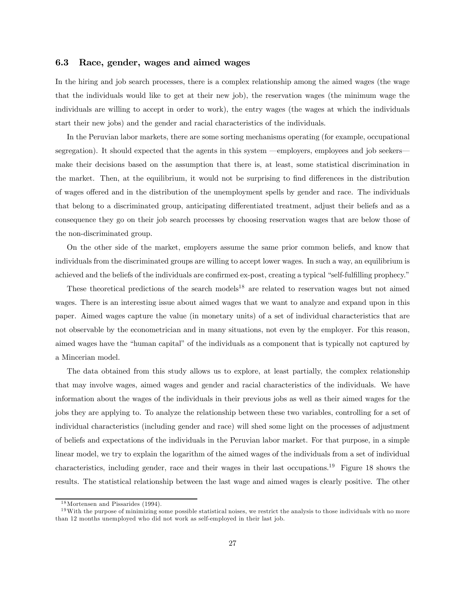#### 6.3 Race, gender, wages and aimed wages

In the hiring and job search processes, there is a complex relationship among the aimed wages (the wage that the individuals would like to get at their new job), the reservation wages (the minimum wage the individuals are willing to accept in order to work), the entry wages (the wages at which the individuals start their new jobs) and the gender and racial characteristics of the individuals.

In the Peruvian labor markets, there are some sorting mechanisms operating (for example, occupational segregation). It should expected that the agents in this system —employers, employees and job seekers make their decisions based on the assumption that there is, at least, some statistical discrimination in the market. Then, at the equilibrium, it would not be surprising to find differences in the distribution of wages offered and in the distribution of the unemployment spells by gender and race. The individuals that belong to a discriminated group, anticipating differentiated treatment, adjust their beliefs and as a consequence they go on their job search processes by choosing reservation wages that are below those of the non-discriminated group.

On the other side of the market, employers assume the same prior common beliefs, and know that individuals from the discriminated groups are willing to accept lower wages. In such a way, an equilibrium is achieved and the beliefs of the individuals are confirmed ex-post, creating a typical "self-fulfilling prophecy."

These theoretical predictions of the search models<sup>18</sup> are related to reservation wages but not aimed wages. There is an interesting issue about aimed wages that we want to analyze and expand upon in this paper. Aimed wages capture the value (in monetary units) of a set of individual characteristics that are not observable by the econometrician and in many situations, not even by the employer. For this reason, aimed wages have the "human capital" of the individuals as a component that is typically not captured by a Mincerian model.

The data obtained from this study allows us to explore, at least partially, the complex relationship that may involve wages, aimed wages and gender and racial characteristics of the individuals. We have information about the wages of the individuals in their previous jobs as well as their aimed wages for the jobs they are applying to. To analyze the relationship between these two variables, controlling for a set of individual characteristics (including gender and race) will shed some light on the processes of adjustment of beliefs and expectations of the individuals in the Peruvian labor market. For that purpose, in a simple linear model, we try to explain the logarithm of the aimed wages of the individuals from a set of individual characteristics, including gender, race and their wages in their last occupations.<sup>19</sup> Figure 18 shows the results. The statistical relationship between the last wage and aimed wages is clearly positive. The other

<sup>&</sup>lt;sup>18</sup> Mortensen and Pissarides (1994).

 $19$ With the purpose of minimizing some possible statistical noises, we restrict the analysis to those individuals with no more than 12 months unemployed who did not work as self-employed in their last job.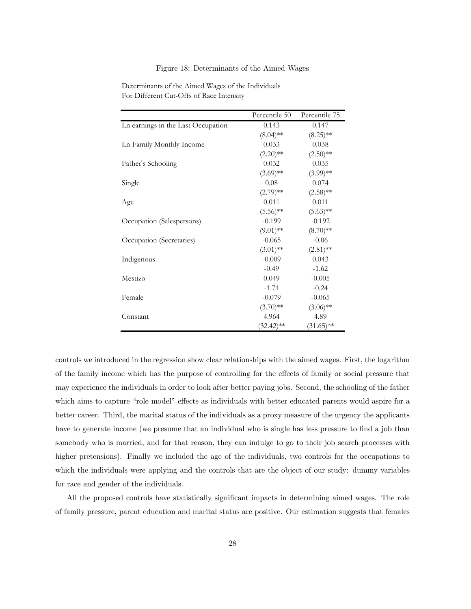#### Figure 18: Determinants of the Aimed Wages

|                                    | Percentile 50 | Percentile 75 |
|------------------------------------|---------------|---------------|
| Ln earnings in the Last Occupation | 0.143         | 0.147         |
|                                    | $(8.04)$ **   | $(8.25)$ **   |
| Ln Family Monthly Income           | 0.033         | 0.038         |
|                                    | $(2.20)$ **   | $(2.50)$ **   |
| Father's Schooling                 | 0.032         | 0.035         |
|                                    | $(3.69)$ **   | $(3.99)$ **   |
| Single                             | 0.08          | 0.074         |
|                                    | $(2.79)$ **   | $(2.58)$ **   |
| Age                                | 0.011         | 0.011         |
|                                    | $(5.56)$ **   | $(5.63)$ **   |
| Occupation (Salespersons)          | $-0.199$      | $-0.192$      |
|                                    | $(9.01)$ **   | $(8.70)$ **   |
| Occupation (Secretaries)           | $-0.065$      | $-0.06$       |
|                                    | $(3.01)$ **   | $(2.81)$ **   |
| Indigenous                         | $-0.009$      | 0.043         |
|                                    | $-0.49$       | $-1.62$       |
| Mestizo                            | 0.049         | $-0.005$      |
|                                    | $-1.71$       | $-0.24$       |
| Female                             | $-0.079$      | $-0.065$      |
|                                    | $(3.70)$ **   | $(3.06)$ **   |
| Constant                           | 4.964         | 4.89          |
|                                    | $(32.42)$ **  | $(31.65)$ **  |

Determinants of the Aimed Wages of the Individuals For Different Cut-Offs of Race Intensity

controls we introduced in the regression show clear relationships with the aimed wages. First, the logarithm of the family income which has the purpose of controlling for the effects of family or social pressure that may experience the individuals in order to look after better paying jobs. Second, the schooling of the father which aims to capture "role model" effects as individuals with better educated parents would aspire for a better career. Third, the marital status of the individuals as a proxy measure of the urgency the applicants have to generate income (we presume that an individual who is single has less pressure to find a job than somebody who is married, and for that reason, they can indulge to go to their job search processes with higher pretensions). Finally we included the age of the individuals, two controls for the occupations to which the individuals were applying and the controls that are the object of our study: dummy variables for race and gender of the individuals.

All the proposed controls have statistically significant impacts in determining aimed wages. The role of family pressure, parent education and marital status are positive. Our estimation suggests that females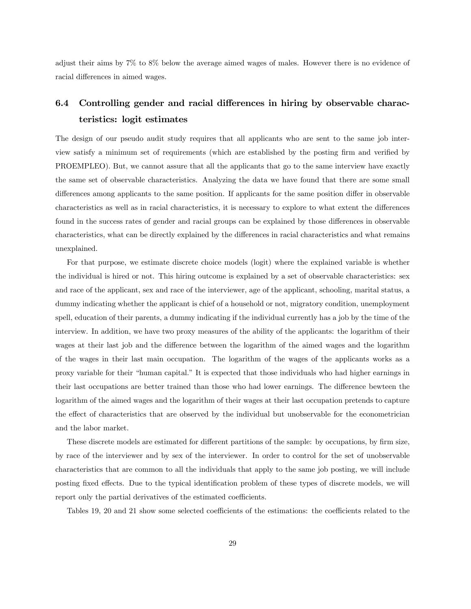adjust their aims by 7% to 8% below the average aimed wages of males. However there is no evidence of racial differences in aimed wages.

## 6.4 Controlling gender and racial differences in hiring by observable characteristics: logit estimates

The design of our pseudo audit study requires that all applicants who are sent to the same job interview satisfy a minimum set of requirements (which are established by the posting firm and verified by PROEMPLEO). But, we cannot assure that all the applicants that go to the same interview have exactly the same set of observable characteristics. Analyzing the data we have found that there are some small differences among applicants to the same position. If applicants for the same position differ in observable characteristics as well as in racial characteristics, it is necessary to explore to what extent the differences found in the success rates of gender and racial groups can be explained by those differences in observable characteristics, what can be directly explained by the differences in racial characteristics and what remains unexplained.

For that purpose, we estimate discrete choice models (logit) where the explained variable is whether the individual is hired or not. This hiring outcome is explained by a set of observable characteristics: sex and race of the applicant, sex and race of the interviewer, age of the applicant, schooling, marital status, a dummy indicating whether the applicant is chief of a household or not, migratory condition, unemployment spell, education of their parents, a dummy indicating if the individual currently has a job by the time of the interview. In addition, we have two proxy measures of the ability of the applicants: the logarithm of their wages at their last job and the difference between the logarithm of the aimed wages and the logarithm of the wages in their last main occupation. The logarithm of the wages of the applicants works as a proxy variable for their "human capital." It is expected that those individuals who had higher earnings in their last occupations are better trained than those who had lower earnings. The difference bewteen the logarithm of the aimed wages and the logarithm of their wages at their last occupation pretends to capture the effect of characteristics that are observed by the individual but unobservable for the econometrician and the labor market.

These discrete models are estimated for different partitions of the sample: by occupations, by firm size, by race of the interviewer and by sex of the interviewer. In order to control for the set of unobservable characteristics that are common to all the individuals that apply to the same job posting, we will include posting fixed effects. Due to the typical identification problem of these types of discrete models, we will report only the partial derivatives of the estimated coefficients.

Tables 19, 20 and 21 show some selected coefficients of the estimations: the coefficients related to the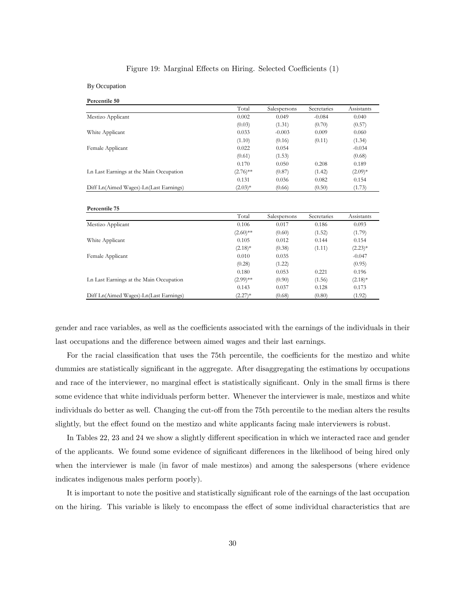#### Figure 19: Marginal Effects on Hiring. Selected Coefficients (1)

By Occupation **Percentile 50**

|                                         | Total       | Salespersons | Secretaries | Assistants |
|-----------------------------------------|-------------|--------------|-------------|------------|
| Mestizo Applicant                       | 0.002       | 0.049        | $-0.084$    | 0.040      |
|                                         | (0.03)      | (1.31)       | (0.70)      | (0.57)     |
| White Applicant                         | 0.033       | $-0.003$     | 0.009       | 0.060      |
|                                         | (1.10)      | (0.16)       | (0.11)      | (1.34)     |
| Female Applicant                        | 0.022       | 0.054        |             | $-0.034$   |
|                                         | (0.61)      | (1.53)       |             | (0.68)     |
|                                         | 0.170       | 0.050        | 0.208       | 0.189      |
| Ln Last Earnings at the Main Occupation | $(2.76)$ ** | (0.87)       | (1.42)      | $(2.09)*$  |
|                                         | 0.131       | 0.036        | 0.082       | 0.154      |
| Diff Ln(Aimed Wages)-Ln(Last Earnings)  | $(2.03)*$   | (0.66)       | (0.50)      | (1.73)     |
| Percentile 75                           |             |              |             |            |
|                                         |             |              |             |            |
|                                         | Total       | Salespersons | Secretaries | Assistants |
| Mestizo Applicant                       | 0.106       | 0.017        | 0.186       | 0.093      |
|                                         | $(2.60)$ ** | (0.60)       | (1.52)      | (1.79)     |
| White Applicant                         | 0.105       | 0.012        | 0.144       | 0.154      |
|                                         | $(2.18)$ *  | (0.38)       | (1.11)      | $(2.23)*$  |
| Female Applicant                        | 0.010       | 0.035        |             | $-0.047$   |
|                                         | (0.28)      | (1.22)       |             | (0.95)     |
|                                         | 0.180       | 0.053        | 0.221       | 0.196      |
| Ln Last Earnings at the Main Occupation | $(2.99)$ ** | (0.90)       | (1.56)      | $(2.18)*$  |
|                                         | 0.143       | 0.037        | 0.128       | 0.173      |

gender and race variables, as well as the coefficients associated with the earnings of the individuals in their last occupations and the difference between aimed wages and their last earnings.

For the racial classification that uses the 75th percentile, the coefficients for the mestizo and white dummies are statistically significant in the aggregate. After disaggregating the estimations by occupations and race of the interviewer, no marginal effect is statistically significant. Only in the small firms is there some evidence that white individuals perform better. Whenever the interviewer is male, mestizos and white individuals do better as well. Changing the cut-off from the 75th percentile to the median alters the results slightly, but the effect found on the mestizo and white applicants facing male interviewers is robust.

In Tables 22, 23 and 24 we show a slightly different specification in which we interacted race and gender of the applicants. We found some evidence of significant differences in the likelihood of being hired only when the interviewer is male (in favor of male mestizos) and among the salespersons (where evidence indicates indigenous males perform poorly).

It is important to note the positive and statistically significant role of the earnings of the last occupation on the hiring. This variable is likely to encompass the effect of some individual characteristics that are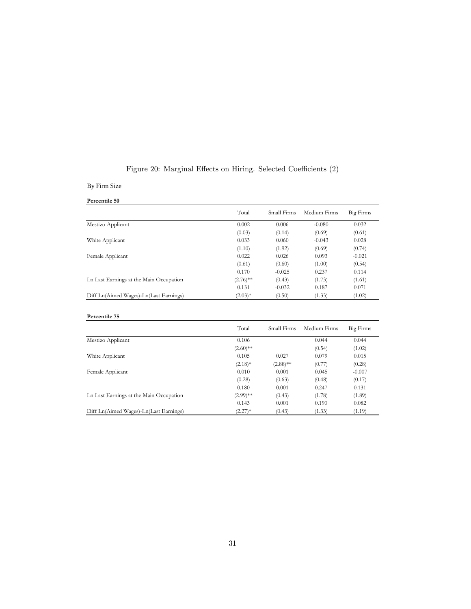|  |  |  |  |  | Figure 20: Marginal Effects on Hiring. Selected Coefficients (2) |  |  |
|--|--|--|--|--|------------------------------------------------------------------|--|--|
|--|--|--|--|--|------------------------------------------------------------------|--|--|

### By Firm Size

| Percentile 50 |  |
|---------------|--|
|               |  |

|                                         | Total       | Small Firms | Medium Firms | <b>Big Firms</b> |
|-----------------------------------------|-------------|-------------|--------------|------------------|
| Mestizo Applicant                       | 0.002       | 0.006       | $-0.080$     | 0.032            |
|                                         | (0.03)      | (0.14)      | (0.69)       | (0.61)           |
| White Applicant                         | 0.033       | 0.060       | $-0.043$     | 0.028            |
|                                         | (1.10)      | (1.92)      | (0.69)       | (0.74)           |
| Female Applicant                        | 0.022       | 0.026       | 0.093        | $-0.021$         |
|                                         | (0.61)      | (0.60)      | (1.00)       | (0.54)           |
|                                         | 0.170       | $-0.025$    | 0.237        | 0.114            |
| Ln Last Earnings at the Main Occupation | $(2.76)$ ** | (0.43)      | (1.73)       | (1.61)           |
|                                         | 0.131       | $-0.032$    | 0.187        | 0.071            |
| Diff Ln(Aimed Wages)-Ln(Last Earnings)  | $(2.03)*$   | (0.50)      | (1.33)       | (1.02)           |
| Percentile 75                           | Total       | Small Firms | Medium Firms | Big Firms        |
| Mestizo Applicant                       | 0.106       |             | 0.044        | 0.044            |
|                                         | $(2.60)$ ** |             | (0.54)       | (1.02)           |
| White Applicant                         | 0.105       | 0.027       | 0.079        | 0.015            |
|                                         | $(2.18)*$   | $(2.88)$ ** | (0.77)       | (0.28)           |
| Female Applicant                        | 0.010       | 0.001       | 0.045        | $-0.007$         |
|                                         | (0.28)      | (0.63)      | (0.48)       | (0.17)           |
|                                         | 0.180       | 0.001       | 0.247        | 0.131            |
| Ln Last Earnings at the Main Occupation | $(2.99)$ ** | (0.43)      | (1.78)       | (1.89)           |
|                                         | 0.143       | 0.001       | 0.190        | 0.082            |
| Diff Ln(Aimed Wages)-Ln(Last Earnings)  | $(2.27)^*$  | (0.43)      | (1.33)       | (1.19)           |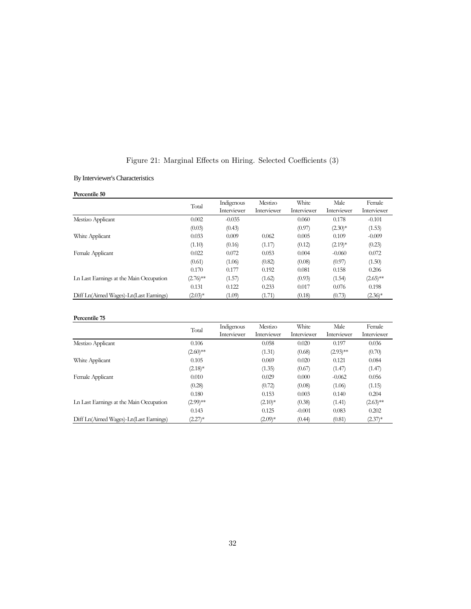|  |  |  |  |  | Figure 21: Marginal Effects on Hiring. Selected Coefficients (3) |  |  |
|--|--|--|--|--|------------------------------------------------------------------|--|--|
|--|--|--|--|--|------------------------------------------------------------------|--|--|

By Interviewer's Characteristics

#### **Percentile 50**

|                                         | Total       | Indigenous  | Mestizo     | White       | Male        | Female      |
|-----------------------------------------|-------------|-------------|-------------|-------------|-------------|-------------|
|                                         |             | Interviewer | Interviewer | Interviewer | Interviewer | Interviewer |
| Mestizo Applicant                       | 0.002       | $-0.035$    |             | 0.060       | 0.178       | $-0.101$    |
|                                         | (0.03)      | (0.43)      |             | (0.97)      | $(2.30)*$   | (1.53)      |
| White Applicant                         | 0.033       | 0.009       | 0.062       | 0.005       | 0.109       | $-0.009$    |
|                                         | (1.10)      | (0.16)      | (1.17)      | (0.12)      | $(2.19)*$   | (0.23)      |
| Female Applicant                        | 0.022       | 0.072       | 0.053       | 0.004       | $-0.060$    | 0.072       |
|                                         | (0.61)      | (1.06)      | (0.82)      | (0.08)      | (0.97)      | (1.50)      |
|                                         | 0.170       | 0.177       | 0.192       | 0.081       | 0.158       | 0.206       |
| Ln Last Earnings at the Main Occupation | $(2.76)$ ** | (1.57)      | (1.62)      | (0.93)      | (1.54)      | $(2.65)$ ** |
|                                         | 0.131       | 0.122       | 0.233       | 0.017       | 0.076       | 0.198       |
| Diff Ln(Aimed Wages)-Ln(Last Earnings)  | $(2.03)*$   | (1.09)      | (1.71)      | (0.18)      | (0.73)      | $(2.36)^*$  |

#### **Percentile 75**

|                                         | Total       | Indigenous<br>Interviewer | Mestizo<br>Interviewer | White<br>Interviewer | Male<br>Interviewer | Female<br>Interviewer |
|-----------------------------------------|-------------|---------------------------|------------------------|----------------------|---------------------|-----------------------|
| Mestizo Applicant                       | 0.106       |                           | 0.058                  | 0.020                | 0.197               | 0.036                 |
|                                         | $(2.60)$ ** |                           | (1.31)                 | (0.68)               | $(2.93)$ **         | (0.70)                |
| White Applicant                         | 0.105       |                           | 0.069                  | 0.020                | 0.121               | 0.084                 |
|                                         | $(2.18)*$   |                           | (1.35)                 | (0.67)               | (1.47)              | (1.47)                |
| Female Applicant                        | 0.010       |                           | 0.029                  | 0.000                | $-0.062$            | 0.056                 |
|                                         | (0.28)      |                           | (0.72)                 | (0.08)               | (1.06)              | (1.15)                |
|                                         | 0.180       |                           | 0.153                  | 0.003                | 0.140               | 0.204                 |
| Ln Last Earnings at the Main Occupation | $(2.99)$ ** |                           | $(2.10)*$              | (0.38)               | (1.41)              | $(2.63)$ **           |
|                                         | 0.143       |                           | 0.125                  | $-0.001$             | 0.083               | 0.202                 |
| Diff Ln(Aimed Wages)-Ln(Last Earnings)  | $(2.27)^*$  |                           | $(2.09)*$              | (0.44)               | (0.81)              | $(2.37)^{*}$          |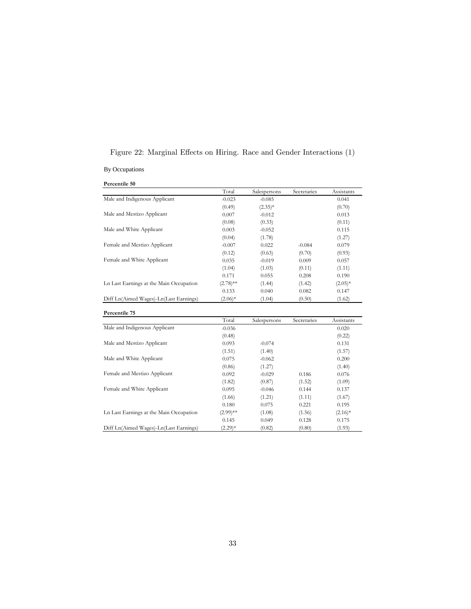| By Occupations                |          |              |             |            |
|-------------------------------|----------|--------------|-------------|------------|
| Percentile 50                 |          |              |             |            |
|                               | Total    | Salespersons | Secretaries | Assistants |
| Male and Indigenous Applicant | $-0.023$ | $-0.085$     |             | 0.041      |
|                               | (0.49)   | $(2.35)*$    |             | (0.70)     |
| Male and Mestizo Applicant    | 0.007    | $-0.012$     |             | 0.013      |
|                               | (0.08)   | (0.33)       |             | (0.11)     |

Male and White Applicant 0.003 -0.052 0.115

Female and Mestizo Applicant -0.007 0.022 -0.084 0.079

Female and White Applicant 0.035 -0.019 0.009 0.057

 $(0.04) \qquad \qquad (1.78) \qquad \qquad (1.27)$   $-0.007 \qquad \qquad 0.022 \qquad \qquad -0.084 \qquad \qquad 0.079$ 

(0.12)  $(0.63)$   $(0.70)$   $(0.93)$ 

 $(1.04)$   $(1.03)$   $(0.11)$   $(1.11)$ 

Figure 22: Marginal Effects on Hiring. Race and Gender Interactions (1)

|                                         | 0.171       | 0.055        | 0.208       | 0.190      |
|-----------------------------------------|-------------|--------------|-------------|------------|
| Ln Last Earnings at the Main Occupation | $(2.78)$ ** | (1.44)       | (1.42)      | $(2.05)*$  |
|                                         | 0.133       | 0.040        | 0.082       | 0.147      |
| Diff Ln(Aimed Wages)-Ln(Last Earnings)  | $(2.06)*$   | (1.04)       | (0.50)      | (1.62)     |
| Percentile 75                           |             |              |             |            |
|                                         | Total       | Salespersons | Secretaries | Assistants |
| Male and Indigenous Applicant           | $-0.036$    |              |             | 0.020      |
|                                         | (0.48)      |              |             | (0.22)     |
| Male and Mestizo Applicant              | 0.093       | $-0.074$     |             | 0.131      |
|                                         | (1.51)      | (1.40)       |             | (1.57)     |
| Male and White Applicant                | 0.075       | $-0.062$     |             | 0.200      |
|                                         | (0.86)      | (1.27)       |             | (1.40)     |
| Female and Mestizo Applicant            | 0.092       | $-0.029$     | 0.186       | 0.076      |
|                                         | (1.82)      | (0.87)       | (1.52)      | (1.09)     |
| Female and White Applicant              | 0.095       | $-0.046$     | 0.144       | 0.137      |
|                                         | (1.66)      | (1.21)       | (1.11)      | (1.67)     |
|                                         | 0.180       | 0.075        | 0.221       | 0.195      |
| Ln Last Earnings at the Main Occupation | $(2.99)$ ** | (1.08)       | (1.56)      | $(2.16)^*$ |
|                                         | 0.145       | 0.049        | 0.128       | 0.175      |
| Diff Ln(Aimed Wages)-Ln(Last Earnings)  | $(2.29)*$   | (0.82)       | (0.80)      | (1.93)     |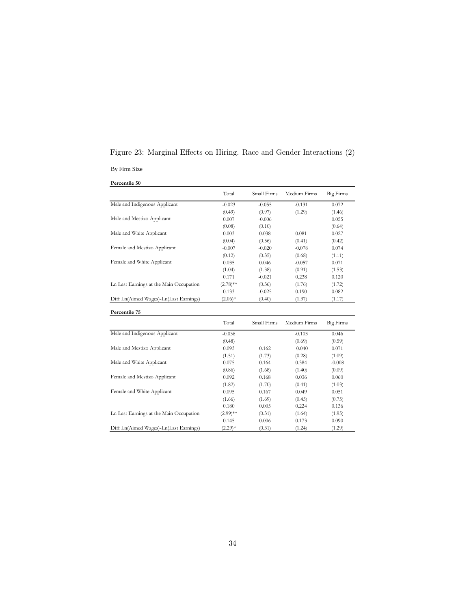## Figure 23: Marginal Effects on Hiring. Race and Gender Interactions (2)

By Firm Size

**Percentile 50**

|                                         | Total       | Small Firms | Medium Firms | Big Firms        |
|-----------------------------------------|-------------|-------------|--------------|------------------|
| Male and Indigenous Applicant           | $-0.023$    | $-0.055$    | $-0.131$     | 0.072            |
|                                         | (0.49)      | (0.97)      | (1.29)       | (1.46)           |
| Male and Mestizo Applicant              | 0.007       | $-0.006$    |              | 0.055            |
|                                         | (0.08)      | (0.10)      |              | (0.64)           |
| Male and White Applicant                | 0.003       | 0.038       | 0.081        | 0.027            |
|                                         | (0.04)      | (0.56)      | (0.41)       | (0.42)           |
| Female and Mestizo Applicant            | $-0.007$    | $-0.020$    | $-0.078$     | 0.074            |
|                                         | (0.12)      | (0.35)      | (0.68)       | (1.11)           |
| Female and White Applicant              | 0.035       | 0.046       | $-0.057$     | 0.071            |
|                                         | (1.04)      | (1.38)      | (0.91)       | (1.53)           |
|                                         | 0.171       | $-0.021$    | 0.238        | 0.120            |
| Ln Last Earnings at the Main Occupation | $(2.78)$ ** | (0.36)      | (1.76)       | (1.72)           |
|                                         | 0.133       | $-0.025$    | 0.190        | 0.082            |
| Diff Ln(Aimed Wages)-Ln(Last Earnings)  | $(2.06)*$   | (0.40)      | (1.37)       | (1.17)           |
| Percentile 75                           |             |             |              |                  |
|                                         | Total       | Small Firms | Medium Firms | <b>Big Firms</b> |
| Male and Indigenous Applicant           | $-0.036$    |             | $-0.103$     | 0.046            |
|                                         | (0.48)      |             | (0.69)       | (0.59)           |
| Male and Mestizo Applicant              | 0.093       | 0.162       | $-0.040$     | 0.071            |
|                                         | (1.51)      | (1.73)      | (0.28)       | (1.09)           |
| Male and White Applicant                | 0.075       | 0.164       | 0.384        | $-0.008$         |
|                                         | (0.86)      | (1.68)      | (1.40)       | (0.09)           |
| Female and Mestizo Applicant            | 0.092       | 0.168       | 0.036        | 0.060            |
|                                         | (1.82)      | (1.70)      | (0.41)       | (1.03)           |
| Female and White Applicant              | 0.095       | 0.167       | 0.049        | 0.051            |
|                                         | (1.66)      | (1.69)      | (0.45)       | (0.75)           |
|                                         | 0.180       | 0.005       | 0.224        | 0.136            |
| Ln Last Earnings at the Main Occupation | $(2.99)$ ** | (0.31)      | (1.64)       | (1.95)           |
|                                         | 0.145       | 0.006       | 0.173        | 0.090            |
| Diff Ln(Aimed Wages)-Ln(Last Earnings)  | $(2.29)*$   | (0.31)      | (1.24)       | (1.29)           |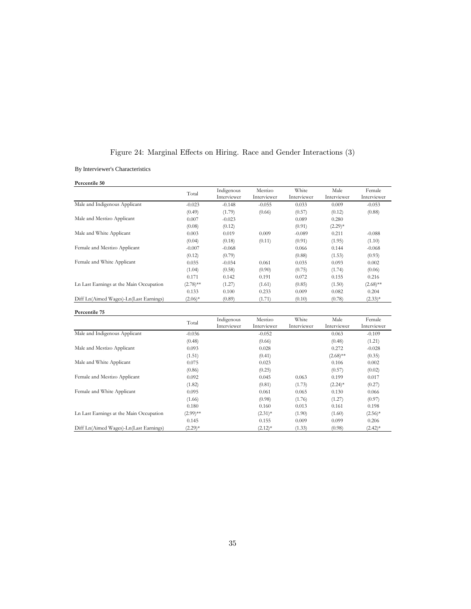|  |  |  |  |  |  | Figure 24: Marginal Effects on Hiring. Race and Gender Interactions (3) |  |  |
|--|--|--|--|--|--|-------------------------------------------------------------------------|--|--|
|--|--|--|--|--|--|-------------------------------------------------------------------------|--|--|

By Interviewer's Characteristics

**Percentile 50**

|                                         | Total       | Indigenous<br>Interviewer | Mestizo<br>Interviewer | White<br>Interviewer | Male<br>Interviewer | Female<br>Interviewer |
|-----------------------------------------|-------------|---------------------------|------------------------|----------------------|---------------------|-----------------------|
| Male and Indigenous Applicant           | $-0.023$    | $-0.148$                  | $-0.055$               | 0.033                | 0.009               | $-0.053$              |
|                                         | (0.49)      | (1.79)                    | (0.66)                 | (0.57)               | (0.12)              | (0.88)                |
| Male and Mestizo Applicant              | 0.007       | $-0.023$                  |                        | 0.089                | 0.280               |                       |
|                                         | (0.08)      | (0.12)                    |                        | (0.91)               | $(2.29)*$           |                       |
| Male and White Applicant                | 0.003       | 0.019                     | 0.009                  | $-0.089$             | 0.211               | $-0.088$              |
|                                         | (0.04)      | (0.18)                    | (0.11)                 | (0.91)               | (1.95)              | (1.10)                |
| Female and Mestizo Applicant            | $-0.007$    | $-0.068$                  |                        | 0.066                | 0.144               | $-0.068$              |
|                                         | (0.12)      | (0.79)                    |                        | (0.88)               | (1.53)              | (0.93)                |
| Female and White Applicant              | 0.035       | $-0.034$                  | 0.061                  | 0.035                | 0.093               | 0.002                 |
|                                         | (1.04)      | (0.58)                    | (0.90)                 | (0.75)               | (1.74)              | (0.06)                |
|                                         | 0.171       | 0.142                     | 0.191                  | 0.072                | 0.155               | 0.216                 |
| Ln Last Earnings at the Main Occupation | $(2.78)$ ** | (1.27)                    | (1.61)                 | (0.85)               | (1.50)              | $(2.68)$ **           |
|                                         | 0.133       | 0.100                     | 0.233                  | 0.009                | 0.082               | 0.204                 |
| Diff Ln(Aimed Wages)-Ln(Last Earnings)  | $(2.06)*$   | (0.89)                    | (1.71)                 | (0.10)               | (0.78)              | $(2.33)*$             |

| Percentile 75                           |             |             |             |             |             |             |
|-----------------------------------------|-------------|-------------|-------------|-------------|-------------|-------------|
|                                         | Total       | Indigenous  | Mestizo     | White       | Male        | Female      |
|                                         |             | Interviewer | Interviewer | Interviewer | Interviewer | Interviewer |
| Male and Indigenous Applicant           | $-0.036$    |             | $-0.052$    |             | 0.063       | $-0.109$    |
|                                         | (0.48)      |             | (0.66)      |             | (0.48)      | (1.21)      |
| Male and Mestizo Applicant              | 0.093       |             | 0.028       |             | 0.272       | $-0.028$    |
|                                         | (1.51)      |             | (0.41)      |             | $(2.68)$ ** | (0.35)      |
| Male and White Applicant                | 0.075       |             | 0.023       |             | 0.106       | 0.002       |
|                                         | (0.86)      |             | (0.25)      |             | (0.57)      | (0.02)      |
| Female and Mestizo Applicant            | 0.092       |             | 0.045       | 0.063       | 0.199       | 0.017       |
|                                         | (1.82)      |             | (0.81)      | (1.73)      | $(2.24)^*$  | (0.27)      |
| Female and White Applicant              | 0.095       |             | 0.061       | 0.065       | 0.130       | 0.066       |
|                                         | (1.66)      |             | (0.98)      | (1.76)      | (1.27)      | (0.97)      |
|                                         | 0.180       |             | 0.160       | 0.013       | 0.161       | 0.198       |
| Ln Last Earnings at the Main Occupation | $(2.99)$ ** |             | $(2.31)*$   | (1.90)      | (1.60)      | $(2.56)*$   |
|                                         | 0.145       |             | 0.155       | 0.009       | 0.099       | 0.206       |
| Diff Ln(Aimed Wages)-Ln(Last Earnings)  | $(2.29)*$   |             | $(2.12)^*$  | (1.33)      | (0.98)      | $(2.42)^*$  |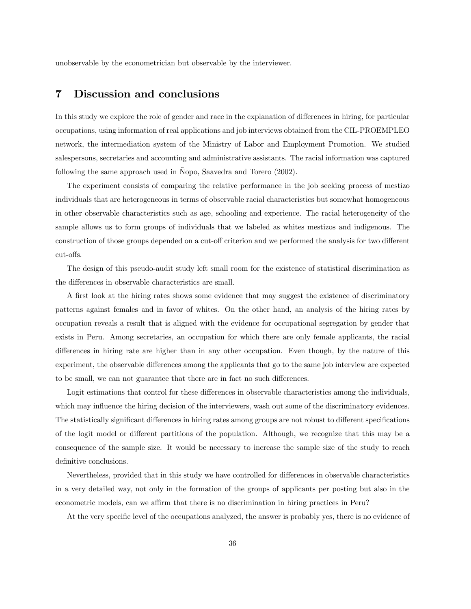unobservable by the econometrician but observable by the interviewer.

## 7 Discussion and conclusions

In this study we explore the role of gender and race in the explanation of differences in hiring, for particular occupations, using information of real applications and job interviews obtained from the CIL-PROEMPLEO network, the intermediation system of the Ministry of Labor and Employment Promotion. We studied salespersons, secretaries and accounting and administrative assistants. The racial information was captured following the same approach used in Ñopo, Saavedra and Torero (2002).

The experiment consists of comparing the relative performance in the job seeking process of mestizo individuals that are heterogeneous in terms of observable racial characteristics but somewhat homogeneous in other observable characteristics such as age, schooling and experience. The racial heterogeneity of the sample allows us to form groups of individuals that we labeled as whites mestizos and indigenous. The construction of those groups depended on a cut-off criterion and we performed the analysis for two different cut-offs.

The design of this pseudo-audit study left small room for the existence of statistical discrimination as the differences in observable characteristics are small.

A first look at the hiring rates shows some evidence that may suggest the existence of discriminatory patterns against females and in favor of whites. On the other hand, an analysis of the hiring rates by occupation reveals a result that is aligned with the evidence for occupational segregation by gender that exists in Peru. Among secretaries, an occupation for which there are only female applicants, the racial differences in hiring rate are higher than in any other occupation. Even though, by the nature of this experiment, the observable differences among the applicants that go to the same job interview are expected to be small, we can not guarantee that there are in fact no such differences.

Logit estimations that control for these differences in observable characteristics among the individuals, which may influence the hiring decision of the interviewers, wash out some of the discriminatory evidences. The statistically significant differences in hiring rates among groups are not robust to different specifications of the logit model or different partitions of the population. Although, we recognize that this may be a consequence of the sample size. It would be necessary to increase the sample size of the study to reach definitive conclusions.

Nevertheless, provided that in this study we have controlled for differences in observable characteristics in a very detailed way, not only in the formation of the groups of applicants per posting but also in the econometric models, can we affirm that there is no discrimination in hiring practices in Peru?

At the very specific level of the occupations analyzed, the answer is probably yes, there is no evidence of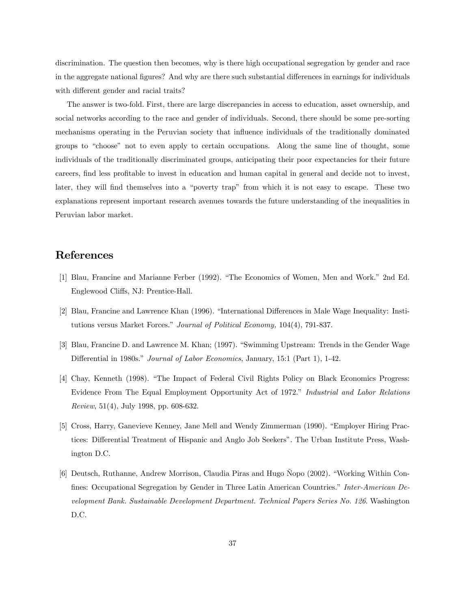discrimination. The question then becomes, why is there high occupational segregation by gender and race in the aggregate national figures? And why are there such substantial differences in earnings for individuals with different gender and racial traits?

The answer is two-fold. First, there are large discrepancies in access to education, asset ownership, and social networks according to the race and gender of individuals. Second, there should be some pre-sorting mechanisms operating in the Peruvian society that influence individuals of the traditionally dominated groups to "choose" not to even apply to certain occupations. Along the same line of thought, some individuals of the traditionally discriminated groups, anticipating their poor expectancies for their future careers, find less profitable to invest in education and human capital in general and decide not to invest, later, they will find themselves into a "poverty trap" from which it is not easy to escape. These two explanations represent important research avenues towards the future understanding of the inequalities in Peruvian labor market.

## References

- [1] Blau, Francine and Marianne Ferber (1992). "The Economics of Women, Men and Work." 2nd Ed. Englewood Cliffs, NJ: Prentice-Hall.
- [2] Blau, Francine and Lawrence Khan (1996). "International Differences in Male Wage Inequality: Institutions versus Market Forces." Journal of Political Economy, 104(4), 791-837.
- [3] Blau, Francine D. and Lawrence M. Khan; (1997). "Swimming Upstream: Trends in the Gender Wage Differential in 1980s." Journal of Labor Economics, January, 15:1 (Part 1), 1-42.
- [4] Chay, Kenneth (1998). "The Impact of Federal Civil Rights Policy on Black Economics Progress: Evidence From The Equal Employment Opportunity Act of 1972." Industrial and Labor Relations Review, 51(4), July 1998, pp. 608-632.
- [5] Cross, Harry, Ganevieve Kenney, Jane Mell and Wendy Zimmerman (1990). "Employer Hiring Practices: Differential Treatment of Hispanic and Anglo Job Seekers". The Urban Institute Press, Washington D.C.
- [6] Deutsch, Ruthanne, Andrew Morrison, Claudia Piras and Hugo Ñopo (2002). "Working Within Confines: Occupational Segregation by Gender in Three Latin American Countries." Inter-American Development Bank. Sustainable Development Department. Technical Papers Series No. 126. Washington D.C.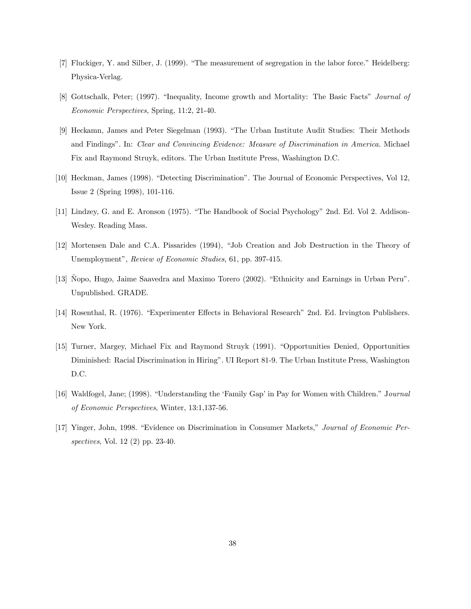- [7] Fluckiger, Y. and Silber, J. (1999). "The measurement of segregation in the labor force." Heidelberg: Physica-Verlag.
- [8] Gottschalk, Peter; (1997). "Inequality, Income growth and Mortality: The Basic Facts" Journal of Economic Perspectives, Spring, 11:2, 21-40.
- [9] Heckamn, James and Peter Siegelman (1993). "The Urban Institute Audit Studies: Their Methods and Findings". In: Clear and Convincing Evidence: Measure of Discrimination in America. Michael Fix and Raymond Struyk, editors. The Urban Institute Press, Washington D.C.
- [10] Heckman, James (1998). "Detecting Discrimination". The Journal of Economic Perspectives, Vol 12, Issue 2 (Spring 1998), 101-116.
- [11] Lindzey, G. and E. Aronson (1975). "The Handbook of Social Psychology" 2nd. Ed. Vol 2. Addison-Wesley. Reading Mass.
- [12] Mortensen Dale and C.A. Pissarides (1994), "Job Creation and Job Destruction in the Theory of Unemployment", Review of Economic Studies, 61, pp. 397-415.
- [13] Ñopo, Hugo, Jaime Saavedra and Maximo Torero (2002). "Ethnicity and Earnings in Urban Peru". Unpublished. GRADE.
- [14] Rosenthal, R. (1976). "Experimenter Effects in Behavioral Research" 2nd. Ed. Irvington Publishers. New York.
- [15] Turner, Margey, Michael Fix and Raymond Struyk (1991). "Opportunities Denied, Opportunities Diminished: Racial Discrimination in Hiring". UI Report 81-9. The Urban Institute Press, Washington D.C.
- [16] Waldfogel, Jane; (1998). "Understanding the 'Family Gap' in Pay for Women with Children." Journal of Economic Perspectives, Winter, 13:1,137-56.
- [17] Yinger, John, 1998. "Evidence on Discrimination in Consumer Markets," Journal of Economic Perspectives, Vol. 12 (2) pp. 23-40.